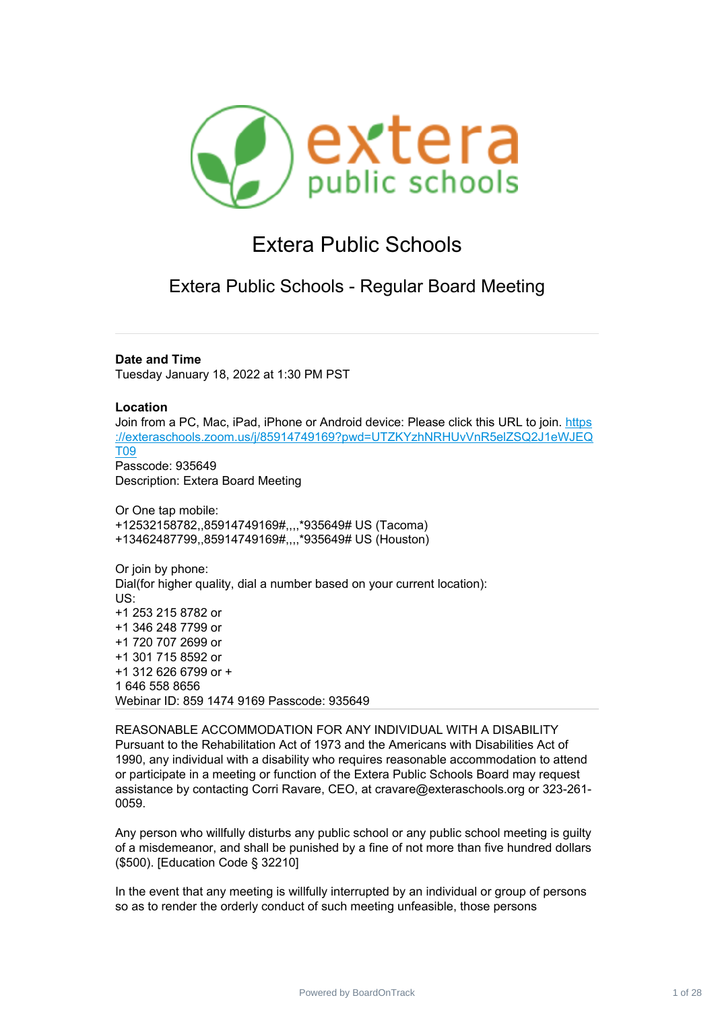

# Extera Public Schools

Extera Public Schools - Regular Board Meeting

**Date and Time**

Tuesday January 18, 2022 at 1:30 PM PST

### **Location**

Join from a PC, Mac, iPad, iPhone or Android device: Please click this URL to join. [https](https://www.google.com/url?q=https://exteraschools.zoom.us/j/85914749169?pwd%3DUTZKYzhNRHUvVnR5elZSQ2J1eWJEQT09&sa=D&source=calendar&ust=1642535975159350&usg=AOvVaw0T-v-IN-jRHhitWaF3chW2) ://exteraschools.zoom.us/j/85914749169?pwd=UTZKYzhNRHUvVnR5elZSQ2J1eWJEQ [T09](https://www.google.com/url?q=https://exteraschools.zoom.us/j/85914749169?pwd%3DUTZKYzhNRHUvVnR5elZSQ2J1eWJEQT09&sa=D&source=calendar&ust=1642535975159350&usg=AOvVaw0T-v-IN-jRHhitWaF3chW2) Passcode: 935649

Description: Extera Board Meeting

Or One tap mobile: +12532158782,,85914749169#,,,,\*935649# US (Tacoma) +13462487799,,85914749169#,,,,\*935649# US (Houston)

Or join by phone: Dial(for higher quality, dial a number based on your current location): US: +1 253 215 8782 or +1 346 248 7799 or +1 720 707 2699 or +1 301 715 8592 or +1 312 626 6799 or + 1 646 558 8656 Webinar ID: 859 1474 9169 Passcode: 935649

REASONABLE ACCOMMODATION FOR ANY INDIVIDUAL WITH A DISABILITY Pursuant to the Rehabilitation Act of 1973 and the Americans with Disabilities Act of 1990, any individual with a disability who requires reasonable accommodation to attend or participate in a meeting or function of the Extera Public Schools Board may request assistance by contacting Corri Ravare, CEO, at cravare@exteraschools.org or 323-261- 0059.

Any person who willfully disturbs any public school or any public school meeting is guilty of a misdemeanor, and shall be punished by a fine of not more than five hundred dollars (\$500). [Education Code § 32210]

In the event that any meeting is willfully interrupted by an individual or group of persons so as to render the orderly conduct of such meeting unfeasible, those persons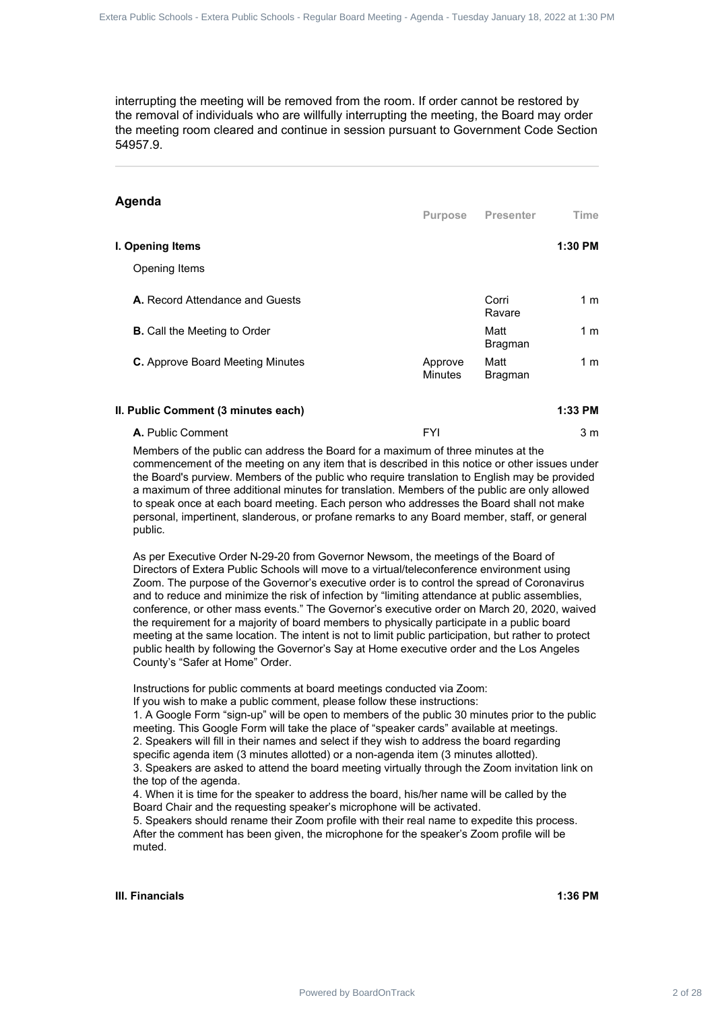### **Agenda**

| the removal of individuals who are willfully interrupting the meeting, the Board may order<br>the meeting room cleared and continue in session pursuant to Government Code Section<br>54957.9.                                                                                                                                                                                                                                                                                                                                         | interrupting the meeting will be removed from the room. If order cannot be restored by |                        |                                                                                              |  |
|----------------------------------------------------------------------------------------------------------------------------------------------------------------------------------------------------------------------------------------------------------------------------------------------------------------------------------------------------------------------------------------------------------------------------------------------------------------------------------------------------------------------------------------|----------------------------------------------------------------------------------------|------------------------|----------------------------------------------------------------------------------------------|--|
| Agenda                                                                                                                                                                                                                                                                                                                                                                                                                                                                                                                                 | Purpose                                                                                | <b>Presenter</b>       | Time                                                                                         |  |
| I. Opening Items                                                                                                                                                                                                                                                                                                                                                                                                                                                                                                                       |                                                                                        |                        | 1:30 PM                                                                                      |  |
| Opening Items                                                                                                                                                                                                                                                                                                                                                                                                                                                                                                                          |                                                                                        |                        |                                                                                              |  |
| A. Record Attendance and Guests                                                                                                                                                                                                                                                                                                                                                                                                                                                                                                        |                                                                                        | Corri<br>Ravare        | 1 <sub>m</sub>                                                                               |  |
| <b>B.</b> Call the Meeting to Order                                                                                                                                                                                                                                                                                                                                                                                                                                                                                                    |                                                                                        | Matt<br>Bragman        | 1 <sub>m</sub>                                                                               |  |
| C. Approve Board Meeting Minutes                                                                                                                                                                                                                                                                                                                                                                                                                                                                                                       | Approve<br><b>Minutes</b>                                                              | Matt<br><b>Bragman</b> | 1 <sub>m</sub>                                                                               |  |
| II. Public Comment (3 minutes each)                                                                                                                                                                                                                                                                                                                                                                                                                                                                                                    |                                                                                        |                        | 1:33 PM                                                                                      |  |
| A. Public Comment                                                                                                                                                                                                                                                                                                                                                                                                                                                                                                                      | <b>FYI</b>                                                                             |                        | 3 <sub>m</sub>                                                                               |  |
| public.                                                                                                                                                                                                                                                                                                                                                                                                                                                                                                                                |                                                                                        |                        | personal, impertinent, slanderous, or profane remarks to any Board member, staff, or general |  |
| As per Executive Order N-29-20 from Governor Newsom, the meetings of the Board of<br>Directors of Extera Public Schools will move to a virtual/teleconference environment using<br>Zoom. The purpose of the Governor's executive order is to control the spread of Coronavirus                                                                                                                                                                                                                                                         |                                                                                        |                        |                                                                                              |  |
| and to reduce and minimize the risk of infection by "limiting attendance at public assemblies,<br>conference, or other mass events." The Governor's executive order on March 20, 2020, waived<br>the requirement for a majority of board members to physically participate in a public board<br>meeting at the same location. The intent is not to limit public participation, but rather to protect<br>public health by following the Governor's Say at Home executive order and the Los Angeles<br>County's "Safer at Home" Order.   |                                                                                        |                        |                                                                                              |  |
| Instructions for public comments at board meetings conducted via Zoom:<br>If you wish to make a public comment, please follow these instructions:<br>1. A Google Form "sign-up" will be open to members of the public 30 minutes prior to the public<br>meeting. This Google Form will take the place of "speaker cards" available at meetings.<br>2. Speakers will fill in their names and select if they wish to address the board regarding<br>specific agenda item (3 minutes allotted) or a non-agenda item (3 minutes allotted). |                                                                                        |                        |                                                                                              |  |
| 3. Speakers are asked to attend the board meeting virtually through the Zoom invitation link on<br>the top of the agenda.<br>4. When it is time for the speaker to address the board, his/her name will be called by the<br>Board Chair and the requesting speaker's microphone will be activated.<br>5. Speakers should rename their Zoom profile with their real name to expedite this process.<br>After the comment has been given, the microphone for the speaker's Zoom profile will be<br>muted.                                 |                                                                                        |                        |                                                                                              |  |

### **II. Public Comment (3 minutes each) 1:33 PM A.** Public Comment 3 m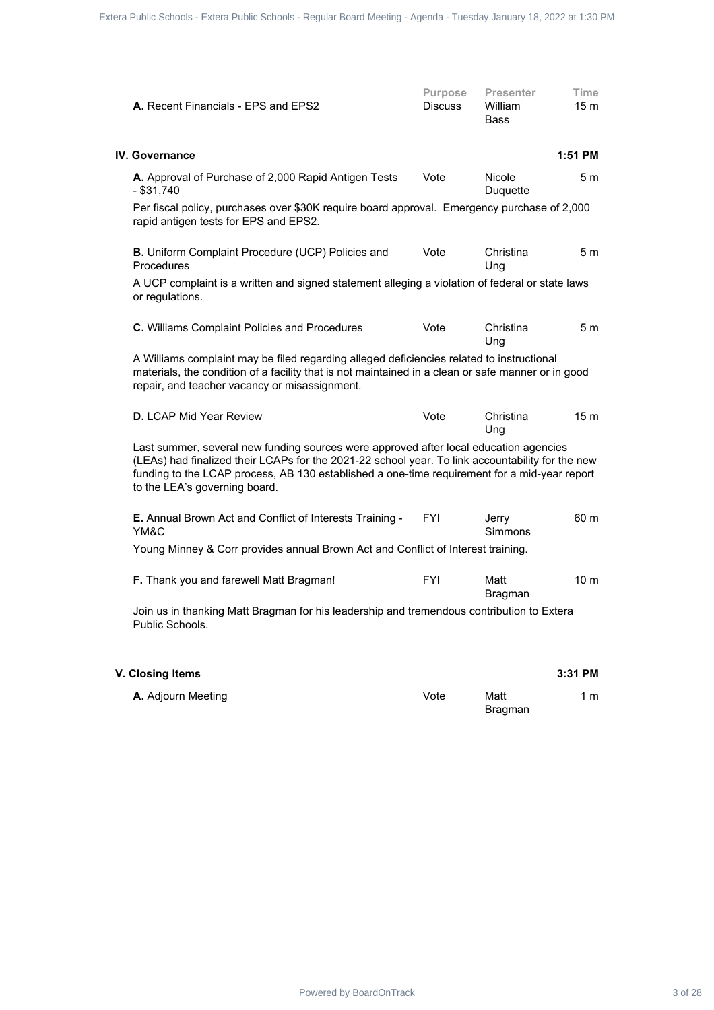| A. Recent Financials - EPS and EPS2                                                                                                                                                                                                                                                                                        | Purpose<br><b>Discuss</b> | <b>Presenter</b><br>William<br><b>Bass</b> | Time<br>15 <sub>m</sub> |  |
|----------------------------------------------------------------------------------------------------------------------------------------------------------------------------------------------------------------------------------------------------------------------------------------------------------------------------|---------------------------|--------------------------------------------|-------------------------|--|
| <b>IV. Governance</b>                                                                                                                                                                                                                                                                                                      |                           |                                            | 1:51 PM                 |  |
| A. Approval of Purchase of 2,000 Rapid Antigen Tests<br>$-$ \$31,740                                                                                                                                                                                                                                                       | Vote                      | Nicole<br>Duquette                         | 5 <sub>m</sub>          |  |
| Per fiscal policy, purchases over \$30K require board approval. Emergency purchase of 2,000<br>rapid antigen tests for EPS and EPS2.                                                                                                                                                                                       |                           |                                            |                         |  |
| B. Uniform Complaint Procedure (UCP) Policies and<br>Procedures                                                                                                                                                                                                                                                            | Vote                      | Christina<br>Ung                           | 5 <sub>m</sub>          |  |
| A UCP complaint is a written and signed statement alleging a violation of federal or state laws<br>or regulations.                                                                                                                                                                                                         |                           |                                            |                         |  |
| C. Williams Complaint Policies and Procedures                                                                                                                                                                                                                                                                              | Vote                      | Christina<br>Ung                           | 5 <sub>m</sub>          |  |
| A Williams complaint may be filed regarding alleged deficiencies related to instructional<br>materials, the condition of a facility that is not maintained in a clean or safe manner or in good<br>repair, and teacher vacancy or misassignment.                                                                           |                           |                                            |                         |  |
| D. LCAP Mid Year Review                                                                                                                                                                                                                                                                                                    | Vote                      | Christina<br>Ung                           | 15 <sub>m</sub>         |  |
| Last summer, several new funding sources were approved after local education agencies<br>(LEAs) had finalized their LCAPs for the 2021-22 school year. To link accountability for the new<br>funding to the LCAP process, AB 130 established a one-time requirement for a mid-year report<br>to the LEA's governing board. |                           |                                            |                         |  |
| E. Annual Brown Act and Conflict of Interests Training -<br>YM&C                                                                                                                                                                                                                                                           | FYI                       | Jerry<br>Simmons                           | 60 m                    |  |
| Young Minney & Corr provides annual Brown Act and Conflict of Interest training.                                                                                                                                                                                                                                           |                           |                                            |                         |  |
| F. Thank you and farewell Matt Bragman!                                                                                                                                                                                                                                                                                    | <b>FYI</b>                | Matt<br><b>Bragman</b>                     | 10 <sub>m</sub>         |  |
| Join us in thanking Matt Bragman for his leadership and tremendous contribution to Extera<br>Public Schools.                                                                                                                                                                                                               |                           |                                            |                         |  |
| V. Closing Items                                                                                                                                                                                                                                                                                                           |                           |                                            | 3:31 PM                 |  |
| A. Adjourn Meeting                                                                                                                                                                                                                                                                                                         | Vote                      | Matt<br><b>Bragman</b>                     | 1 <sub>m</sub>          |  |
|                                                                                                                                                                                                                                                                                                                            |                           |                                            |                         |  |
|                                                                                                                                                                                                                                                                                                                            |                           |                                            |                         |  |
|                                                                                                                                                                                                                                                                                                                            |                           |                                            |                         |  |
|                                                                                                                                                                                                                                                                                                                            |                           |                                            |                         |  |
|                                                                                                                                                                                                                                                                                                                            |                           |                                            |                         |  |
|                                                                                                                                                                                                                                                                                                                            |                           |                                            |                         |  |
|                                                                                                                                                                                                                                                                                                                            |                           |                                            |                         |  |

| <b>A.</b> Adjourn Meeting | Vote | Matt    | l m |
|---------------------------|------|---------|-----|
|                           |      | Bragman |     |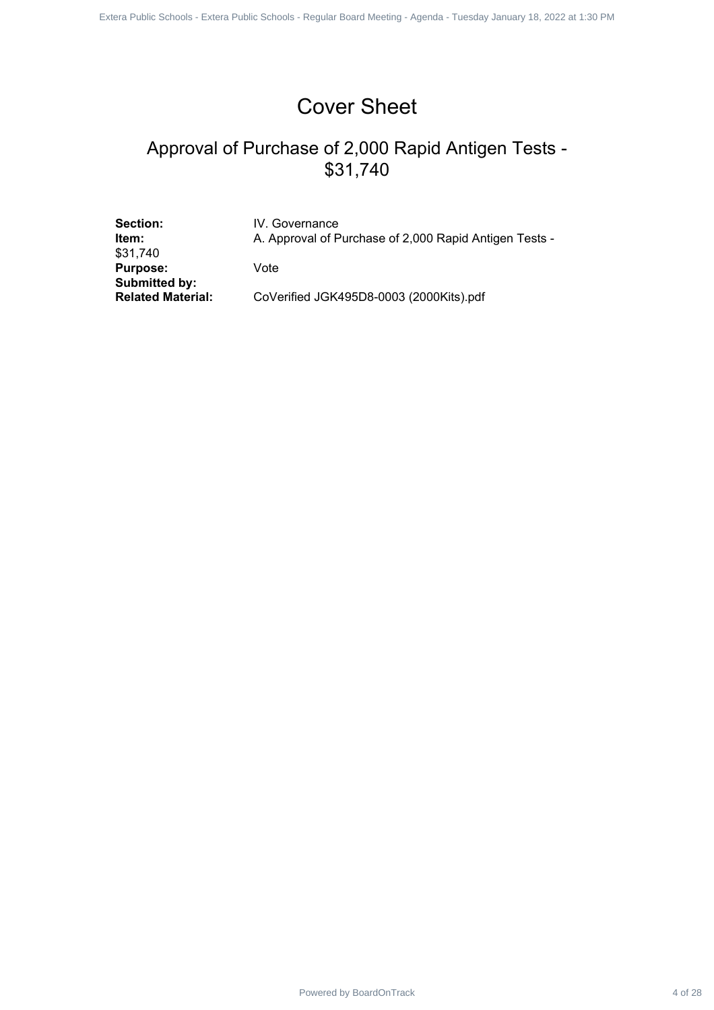# Cover Sheet

# Approval of Purchase of 2,000 Rapid Antigen Tests - \$31,740 Powered by Board Contract 4 of 2000 Replacement Apple Schools - Replacement - Regular School School School School Schools - Regular Board Antigen Tests - Regular Board - Regular Board - Regular Board Antigen Tests - Regula

Section: **IV. Governance** \$31,740 **Purpose:** Vote **Submitted by:**

**Item:** A. Approval of Purchase of 2,000 Rapid Antigen Tests -

**Related Material:** CoVerified JGK495D8-0003 (2000Kits).pdf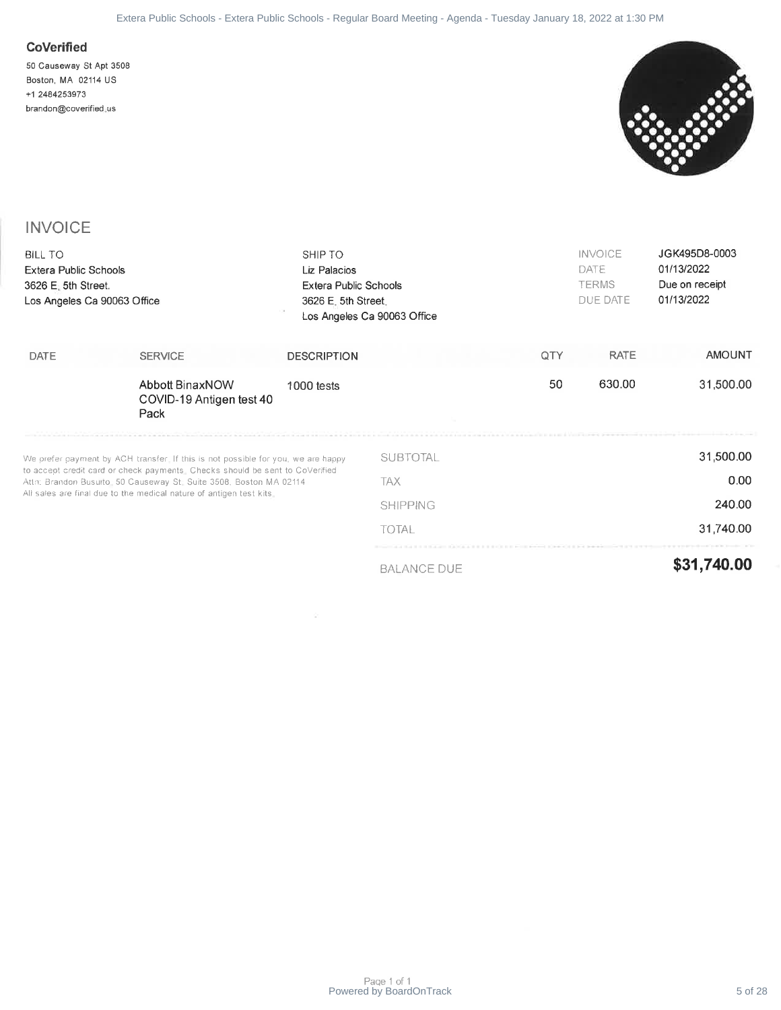### **CoVerified**



### **INVOICE**

|                                                                                                               | Extera Public Schools - Extera Public Schools - Regular Board Meeting - Agenda - Tuesday January 18, 2022 at 1:30 PM                                                                                                                                                                                          |                                                                         |                                                    |     |                                                    |                                                             |
|---------------------------------------------------------------------------------------------------------------|---------------------------------------------------------------------------------------------------------------------------------------------------------------------------------------------------------------------------------------------------------------------------------------------------------------|-------------------------------------------------------------------------|----------------------------------------------------|-----|----------------------------------------------------|-------------------------------------------------------------|
| <b>CoVerified</b><br>50 Causeway St Apt 3508<br>Boston, MA 02114 US<br>+1 2484253973<br>brandon@coverified.us |                                                                                                                                                                                                                                                                                                               |                                                                         |                                                    |     |                                                    |                                                             |
| <b>INVOICE</b>                                                                                                |                                                                                                                                                                                                                                                                                                               |                                                                         |                                                    |     |                                                    |                                                             |
| <b>BILL TO</b><br>Extera Public Schools<br>3626 E. 5th Street.<br>Los Angeles Ca 90063 Office                 |                                                                                                                                                                                                                                                                                                               | SHIP TO<br>Liz Palacios<br>Extera Public Schools<br>3626 E. 5th Street. | Los Angeles Ca 90063 Office                        |     | <b>INVOICE</b><br>DATE<br><b>TERMS</b><br>DUE DATE | JGK495D8-0003<br>01/13/2022<br>Due on receipt<br>01/13/2022 |
| DATE                                                                                                          | <b>SERVICE</b>                                                                                                                                                                                                                                                                                                | <b>DESCRIPTION</b>                                                      |                                                    | QTY | <b>RATE</b>                                        | <b>AMOUNT</b>                                               |
|                                                                                                               | <b>Abbott BinaxNOW</b><br>COVID-19 Antigen test 40<br>Pack                                                                                                                                                                                                                                                    | 1000 tests                                                              |                                                    | 50  | 630.00                                             | 31,500.00                                                   |
|                                                                                                               | We prefer payment by ACH transfer. If this is not possible for you, we are happy<br>to accept credit card or check payments. Checks should be sent to CoVerified<br>Attn: Brandon Busuito, 50 Causeway St. Suite 3508, Boston MA 02114<br>All sales are final due to the medical nature of antigen test kits. |                                                                         | <b>SUBTOTAL</b><br>TAX<br><b>SHIPPING</b><br>TOTAL |     |                                                    | 31,500.00<br>0.00<br>240.00<br>31,740.00                    |
|                                                                                                               |                                                                                                                                                                                                                                                                                                               | and the control                                                         | <b>BALANCE DUE</b>                                 |     |                                                    | \$31,740.00                                                 |
|                                                                                                               |                                                                                                                                                                                                                                                                                                               |                                                                         |                                                    |     |                                                    |                                                             |
|                                                                                                               |                                                                                                                                                                                                                                                                                                               |                                                                         | Page 1 of 1<br>Powered by BoardOnTrack             |     |                                                    | 5 of 28                                                     |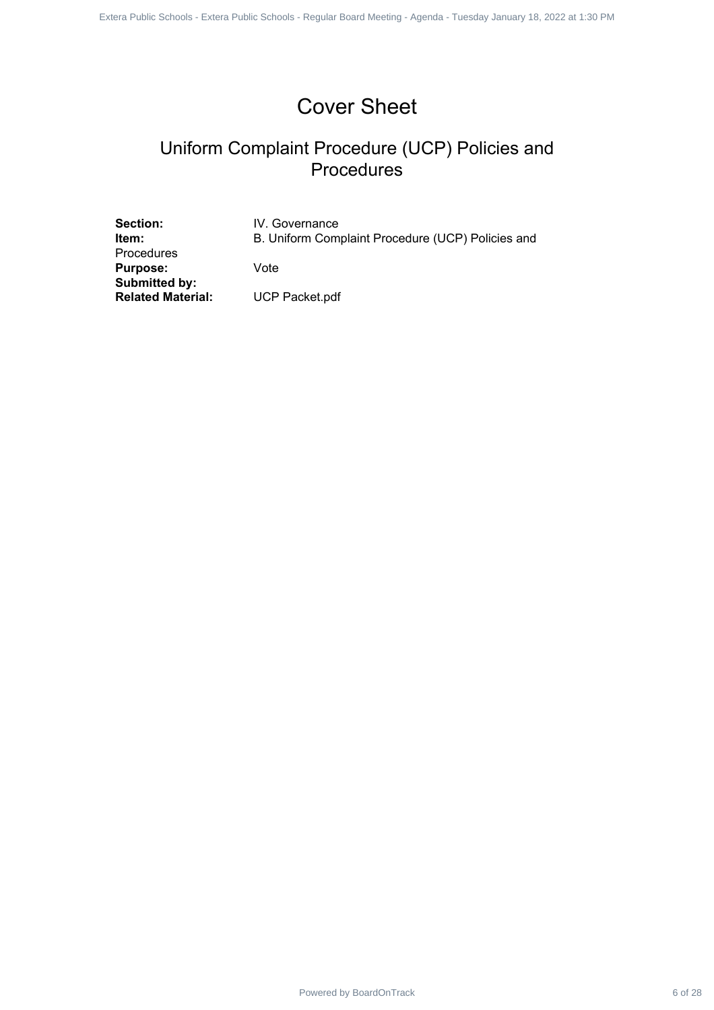# Cover Sheet

# Uniform Complaint Procedure (UCP) Policies and Procedures Powered by BoardOnTrack 6 of 28 1 of 28 1 of 1Externa Public Schools - Republic Schools - Republic Schools - Regular Board - Procedures - Procedures - Regular Board - Procedures - Regular Board Meeting - Agenda Meeting - A

Section: **IV. Governance** Procedures **Purpose:** Vote **Submitted by: Related Material:** UCP Packet.pdf

**Item:** B. Uniform Complaint Procedure (UCP) Policies and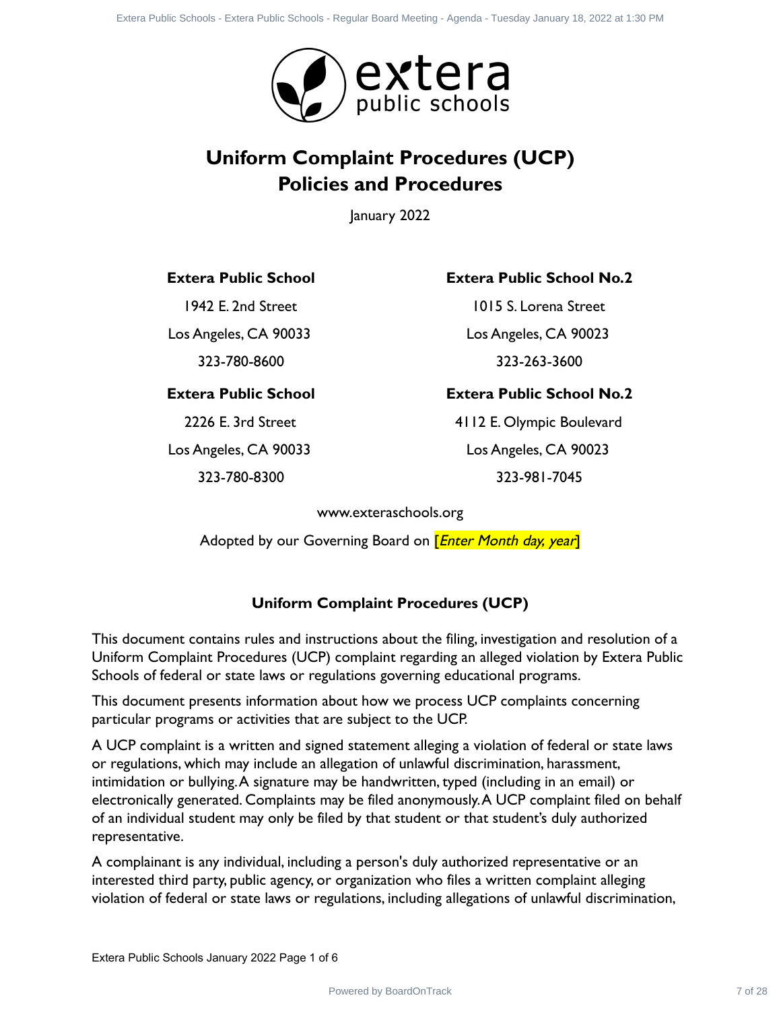

# **Uniform Complaint Procedures (UCP) Policies and Procedures**

January 2022

### **Extera Public School**

1942 E. 2nd Street

Los Angeles, CA 90033 323-780-8600

### **Extera Public School**

2226 E. 3rd Street Los Angeles, CA 90033

323-780-8300

### **Extera Public School No.2**

1015 S. Lorena Street Los Angeles, CA 90023 323-263-3600

### **Extera Public School No.2**

4112 E. Olympic Boulevard Los Angeles, CA 90023 323-981-7045

www.exteraschools.org

Adopted by our Governing Board on *[Enter Month day, year*]

### **Uniform Complaint Procedures (UCP)**

This document contains rules and instructions about the filing, investigation and resolution of a Uniform Complaint Procedures (UCP) complaint regarding an alleged violation by Extera Public Schools of federal or state laws or regulations governing educational programs.

This document presents information about how we process UCP complaints concerning particular programs or activities that are subject to the UCP.

A UCP complaint is a written and signed statement alleging a violation of federal or state laws or regulations, which may include an allegation of unlawful discrimination, harassment, intimidation or bullying.A signature may be handwritten, typed (including in an email) or electronically generated. Complaints may be filed anonymously.A UCP complaint filed on behalf of an individual student may only be filed by that student or that student's duly authorized representative. **Power Computer Computer Computer Computer 7 of 28 Externa Public Schools - Politics Schools - Politics Schools - Politics Schools - Regular Public Schools - Regular Board Proceedures - Regular School - Regular Board Meet** 

A complainant is any individual, including a person's duly authorized representative or an interested third party, public agency, or organization who files a written complaint alleging violation of federal or state laws or regulations, including allegations of unlawful discrimination,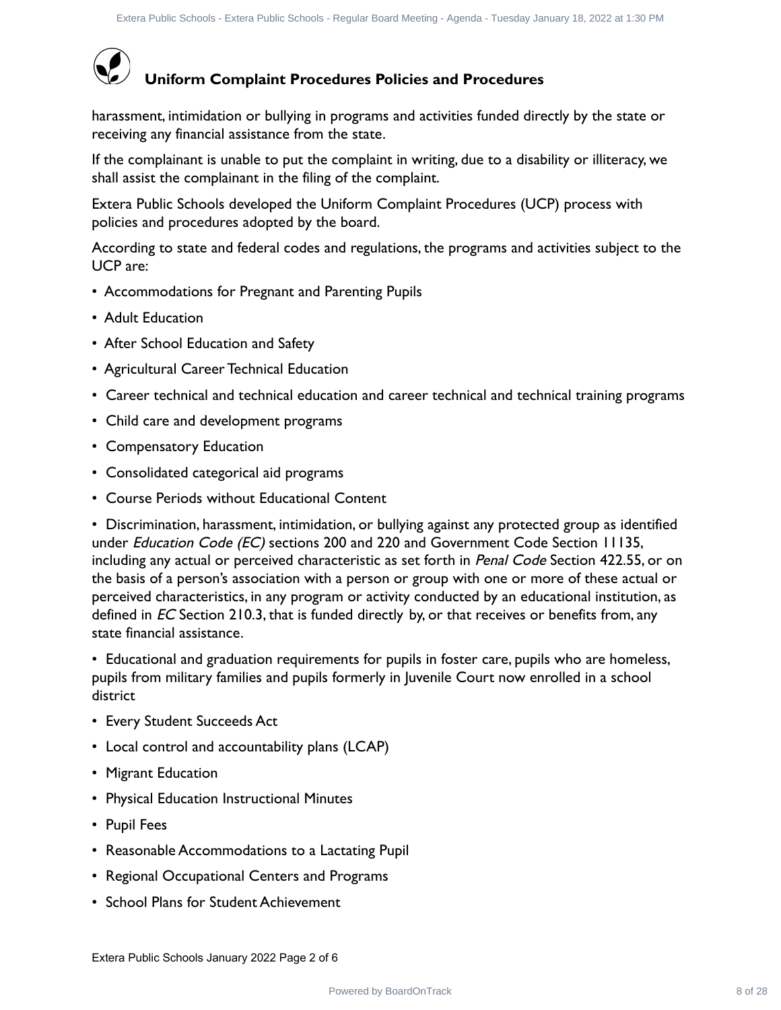

# **Uniform Complaint Procedures Policies and Procedures**

harassment, intimidation or bullying in programs and activities funded directly by the state or receiving any financial assistance from the state.

If the complainant is unable to put the complaint in writing, due to a disability or illiteracy, we shall assist the complainant in the filing of the complaint.

Extera Public Schools developed the Uniform Complaint Procedures (UCP) process with policies and procedures adopted by the board.

According to state and federal codes and regulations, the programs and activities subject to the UCP are:

- Accommodations for Pregnant and Parenting Pupils
- Adult Education
- After School Education and Safety
- Agricultural Career Technical Education
- Career technical and technical education and career technical and technical training programs
- Child care and development programs
- Compensatory Education
- Consolidated categorical aid programs
- Course Periods without Educational Content

• Discrimination, harassment, intimidation, or bullying against any protected group as identified under *Education Code (EC)* sections 200 and 220 and Government Code Section 11135, including any actual or perceived characteristic as set forth in Penal Code Section 422.55, or on the basis of a person's association with a person or group with one or more of these actual or perceived characteristics, in any program or activity conducted by an educational institution, as defined in  $EC$  Section 210.3, that is funded directly by, or that receives or benefits from, any state financial assistance. Photo Rate Franchis Entropic Comparison is they be function to the property and **Procedures**<br>
Poultime Complete and Procedures Folicies and Procedures<br>
System point in the state of the complete and activities funded direct

• Educational and graduation requirements for pupils in foster care, pupils who are homeless, pupils from military families and pupils formerly in Juvenile Court now enrolled in a school district

- Every Student Succeeds Act
- Local control and accountability plans (LCAP)
- Migrant Education
- Physical Education Instructional Minutes
- Pupil Fees
- Reasonable Accommodations to a Lactating Pupil
- Regional Occupational Centers and Programs
- School Plans for Student Achievement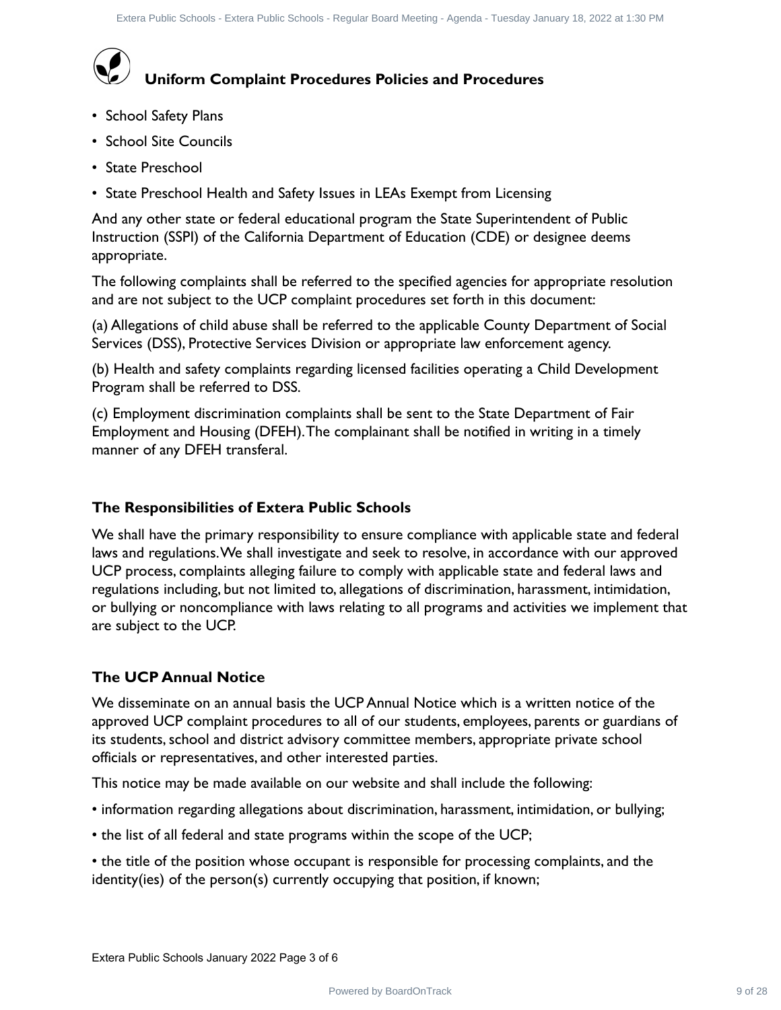# **Uniform Complaint Procedures Policies and Procedures**

- School Safety Plans
- School Site Councils
- State Preschool
- State Preschool Health and Safety Issues in LEAs Exempt from Licensing

And any other state or federal educational program the State Superintendent of Public Instruction (SSPI) of the California Department of Education (CDE) or designee deems appropriate.

The following complaints shall be referred to the specified agencies for appropriate resolution and are not subject to the UCP complaint procedures set forth in this document:

(a) Allegations of child abuse shall be referred to the applicable County Department of Social Services (DSS), Protective Services Division or appropriate law enforcement agency.

(b) Health and safety complaints regarding licensed facilities operating a Child Development Program shall be referred to DSS.

(c) Employment discrimination complaints shall be sent to the State Department of Fair Employment and Housing (DFEH). The complainant shall be notified in writing in a timely manner of any DFEH transferal.

### **The Responsibilities of Extera Public Schools**

We shall have the primary responsibility to ensure compliance with applicable state and federal laws and regulations.We shall investigate and seek to resolve, in accordance with our approved UCP process, complaints alleging failure to comply with applicable state and federal laws and regulations including, but not limited to, allegations of discrimination, harassment, intimidation, or bullying or noncompliance with laws relating to all programs and activities we implement that are subject to the UCP. Photo fisite is the total channel and fisite fisite for the plast function of the plast state of Policies and Procedures<br>
Dool Stetry Plans<br>
2001 Stetry Plans<br>
2001 Stetry Plans<br>
22 PowerFower Concelastic Schools Health an

### **The UCP Annual Notice**

We disseminate on an annual basis the UCP Annual Notice which is a written notice of the approved UCP complaint procedures to all of our students, employees, parents or guardians of its students, school and district advisory committee members, appropriate private school officials or representatives, and other interested parties.

This notice may be made available on our website and shall include the following:

- information regarding allegations about discrimination, harassment, intimidation, or bullying;
- the list of all federal and state programs within the scope of the UCP;
- the title of the position whose occupant is responsible for processing complaints, and the identity(ies) of the person(s) currently occupying that position, if known;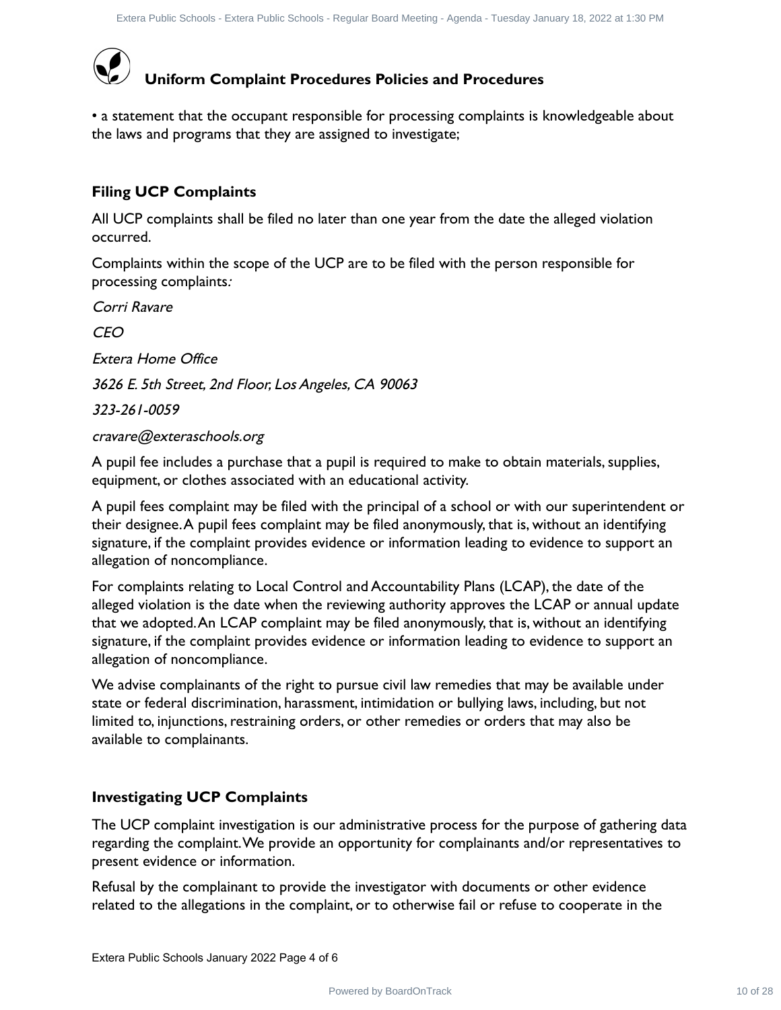

• a statement that the occupant responsible for processing complaints is knowledgeable about the laws and programs that they are assigned to investigate;

### **Filing UCP Complaints**

All UCP complaints shall be filed no later than one year from the date the alleged violation occurred.

Complaints within the scope of the UCP are to be filed with the person responsible for processing complaints:

Corri Ravare

CEO

Extera Home Office

3626 E. 5th Street, 2nd Floor, Los Angeles, CA 90063

323-261-0059

### cravare@exteraschools.org

A pupil fee includes a purchase that a pupil is required to make to obtain materials, supplies, equipment, or clothes associated with an educational activity.

A pupil fees complaint may be filed with the principal of a school or with our superintendent or their designee.A pupil fees complaint may be filed anonymously, that is, without an identifying signature, if the complaint provides evidence or information leading to evidence to support an allegation of noncompliance.

For complaints relating to Local Control and Accountability Plans (LCAP), the date of the alleged violation is the date when the reviewing authority approves the LCAP or annual update that we adopted.An LCAP complaint may be filed anonymously, that is, without an identifying signature, if the complaint provides evidence or information leading to evidence to support an allegation of noncompliance. Photo filters from the filters from free forms from the state from the filters and **Procedures**<br>
Point of the the comparint **Procedures Policies and Procedures**<br>
the comparint that they are stagined to meeting complaints i

We advise complainants of the right to pursue civil law remedies that may be available under state or federal discrimination, harassment, intimidation or bullying laws, including, but not limited to, injunctions, restraining orders, or other remedies or orders that may also be available to complainants.

### **Investigating UCP Complaints**

The UCP complaint investigation is our administrative process for the purpose of gathering data regarding the complaint.We provide an opportunity for complainants and/or representatives to present evidence or information.

Refusal by the complainant to provide the investigator with documents or other evidence related to the allegations in the complaint, or to otherwise fail or refuse to cooperate in the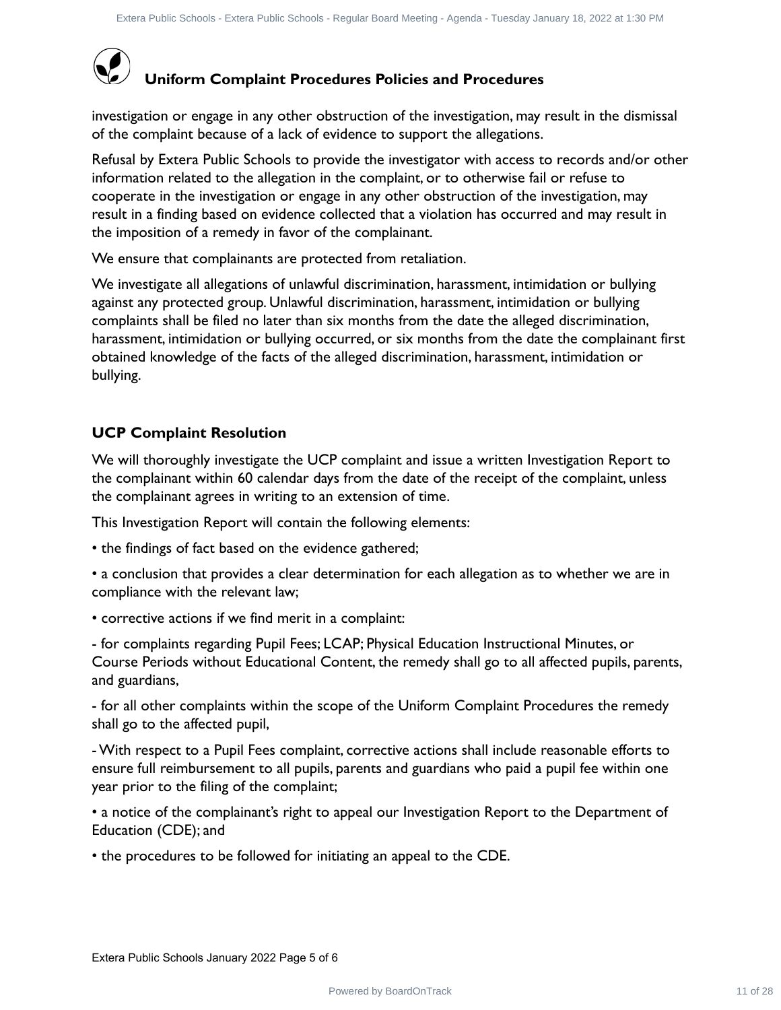

# **Uniform Complaint Procedures Policies and Procedures**

investigation or engage in any other obstruction of the investigation, may result in the dismissal of the complaint because of a lack of evidence to support the allegations.

Refusal by Extera Public Schools to provide the investigator with access to records and/or other information related to the allegation in the complaint, or to otherwise fail or refuse to cooperate in the investigation or engage in any other obstruction of the investigation, may result in a finding based on evidence collected that a violation has occurred and may result in the imposition of a remedy in favor of the complainant.

We ensure that complainants are protected from retaliation.

We investigate all allegations of unlawful discrimination, harassment, intimidation or bullying against any protected group. Unlawful discrimination, harassment, intimidation or bullying complaints shall be filed no later than six months from the date the alleged discrimination, harassment, intimidation or bullying occurred, or six months from the date the complainant first obtained knowledge of the facts of the alleged discrimination, harassment, intimidation or bullying. Photo these frees but is the state from the transportant pair the formulation of the investigation or emogen in any result in the distribution of the investigation or the investigation of the investigation of the investiga

### **UCP Complaint Resolution**

We will thoroughly investigate the UCP complaint and issue a written Investigation Report to the complainant within 60 calendar days from the date of the receipt of the complaint, unless the complainant agrees in writing to an extension of time.

This Investigation Report will contain the following elements:

• the findings of fact based on the evidence gathered;

• a conclusion that provides a clear determination for each allegation as to whether we are in compliance with the relevant law;

• corrective actions if we find merit in a complaint:

- for complaints regarding Pupil Fees; LCAP; Physical Education Instructional Minutes, or Course Periods without Educational Content, the remedy shall go to all affected pupils, parents, and guardians,

- for all other complaints within the scope of the Uniform Complaint Procedures the remedy shall go to the affected pupil,

- With respect to a Pupil Fees complaint, corrective actions shall include reasonable efforts to ensure full reimbursement to all pupils, parents and guardians who paid a pupil fee within one year prior to the filing of the complaint;

• a notice of the complainant's right to appeal our Investigation Report to the Department of Education (CDE); and

• the procedures to be followed for initiating an appeal to the CDE.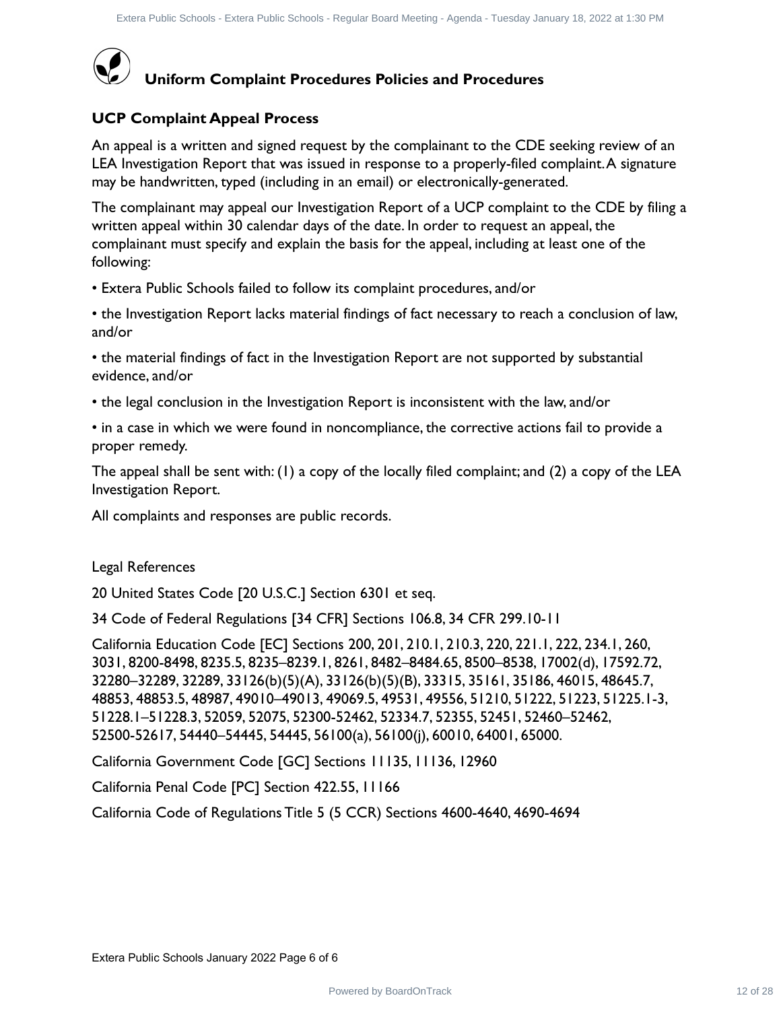

### **Uniform Complaint Procedures Policies and Procedures**

### **UCP Complaint Appeal Process**

An appeal is a written and signed request by the complainant to the CDE seeking review of an LEA Investigation Report that was issued in response to a properly-filed complaint.A signature may be handwritten, typed (including in an email) or electronically-generated.

The complainant may appeal our Investigation Report of a UCP complaint to the CDE by filing a written appeal within 30 calendar days of the date. In order to request an appeal, the complainant must specify and explain the basis for the appeal, including at least one of the following:

• Extera Public Schools failed to follow its complaint procedures, and/or

• the Investigation Report lacks material findings of fact necessary to reach a conclusion of law, and/or

• the material findings of fact in the Investigation Report are not supported by substantial evidence, and/or

• the legal conclusion in the Investigation Report is inconsistent with the law, and/or

• in a case in which we were found in noncompliance, the corrective actions fail to provide a proper remedy.

The appeal shall be sent with: (1) a copy of the locally filed complaint; and (2) a copy of the LEA Investigation Report.

All complaints and responses are public records.

Legal References

20 United States Code [20 U.S.C.] Section 6301 et seq.

34 Code of Federal Regulations [34 CFR] Sections 106.8, 34 CFR 299.10-11

California Education Code [EC] Sections 200, 201, 210.1, 210.3, 220, 221.1, 222, 234.1, 260, 3031, 8200-8498, 8235.5, 8235–8239.1, 8261, 8482–8484.65, 8500–8538, 17002(d), 17592.72, 32280–32289, 32289, 33126(b)(5)(A), 33126(b)(5)(B), 33315, 35161, 35186, 46015, 48645.7, 48853, 48853.5, 48987, 49010–49013, 49069.5, 49531, 49556, 51210, 51222, 51223, 51225.1-3, 51228.1–51228.3, 52059, 52075, 52300-52462, 52334.7, 52355, 52451, 52460–52462, 52500-52617, 54440–54445, 54445, 56100(a), 56100(j), 60010, 64001, 65000. Photo Busine Franch Polis Board Rights - Busine Board Broadcaters<br>
Pomplaint Appeal Process<br>
Pomplaint Appeal Process<br>
Pomplaint Appeal Process<br>
Investigation Appear that we have a property filed complaint a vertexa<br>
Inves

California Government Code [GC] Sections 11135, 11136, 12960

California Penal Code [PC] Section 422.55, 11166

California Code of Regulations Title 5 (5 CCR) Sections 4600-4640, 4690-4694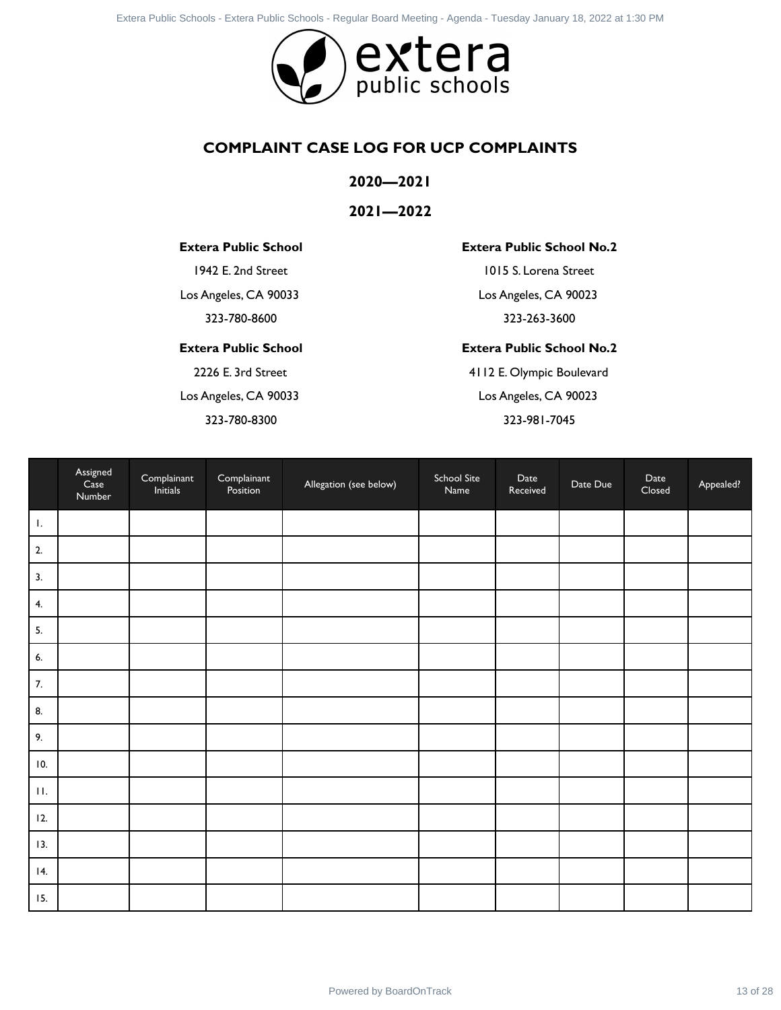

### **COMPLAINT CASE LOG FOR UCP COMPLAINTS**

### **2020—2021**

### **2021—2022**

### **Extera Public School**

### **Extera Public School**

### **Extera Public School No.2**

### **Extera Public School No.2**

|                   |                            |                                |                                       | <b>COMPLAINT CASE LOG FOR UCP COMPLAINTS</b> |                     |                                       |          |                |           |
|-------------------|----------------------------|--------------------------------|---------------------------------------|----------------------------------------------|---------------------|---------------------------------------|----------|----------------|-----------|
|                   |                            |                                |                                       | 2020-2021                                    |                     |                                       |          |                |           |
|                   |                            |                                |                                       | $2021 - 2022$                                |                     |                                       |          |                |           |
|                   |                            |                                | <b>Extera Public School</b>           |                                              |                     | <b>Extera Public School No.2</b>      |          |                |           |
|                   |                            |                                | 1942 E. 2nd Street                    |                                              |                     | 1015 S. Lorena Street                 |          |                |           |
|                   |                            |                                | Los Angeles, CA 90033                 |                                              |                     | Los Angeles, CA 90023                 |          |                |           |
|                   |                            |                                | 323-780-8600                          |                                              |                     | 323-263-3600                          |          |                |           |
|                   |                            |                                | <b>Extera Public School</b>           |                                              |                     | <b>Extera Public School No.2</b>      |          |                |           |
|                   |                            |                                | 2226 E. 3rd Street                    |                                              |                     | 4112 E. Olympic Boulevard             |          |                |           |
|                   |                            |                                | Los Angeles, CA 90033<br>323-780-8300 |                                              |                     | Los Angeles, CA 90023<br>323-981-7045 |          |                |           |
|                   |                            |                                |                                       |                                              |                     |                                       |          |                |           |
|                   | Assigned<br>Case<br>Number | Complainant<br><b>Initials</b> | Complainant<br>Position               | Allegation (see below)                       | School Site<br>Name | Date<br>Received                      | Date Due | Date<br>Closed | Appealed? |
|                   |                            |                                |                                       |                                              |                     |                                       |          |                |           |
|                   |                            |                                |                                       |                                              |                     |                                       |          |                |           |
|                   |                            |                                |                                       |                                              |                     |                                       |          |                |           |
|                   |                            |                                |                                       |                                              |                     |                                       |          |                |           |
|                   |                            |                                |                                       |                                              |                     |                                       |          |                |           |
|                   |                            |                                |                                       |                                              |                     |                                       |          |                |           |
|                   |                            |                                |                                       |                                              |                     |                                       |          |                |           |
|                   |                            |                                |                                       |                                              |                     |                                       |          |                |           |
|                   |                            |                                |                                       |                                              |                     |                                       |          |                |           |
| 10.               |                            |                                |                                       |                                              |                     |                                       |          |                |           |
| $\Pi$ .           |                            |                                |                                       |                                              |                     |                                       |          |                |           |
|                   |                            |                                |                                       |                                              |                     |                                       |          |                |           |
|                   |                            |                                |                                       |                                              |                     |                                       |          |                |           |
| 12.<br>13.<br> 4. |                            |                                |                                       |                                              |                     |                                       |          |                |           |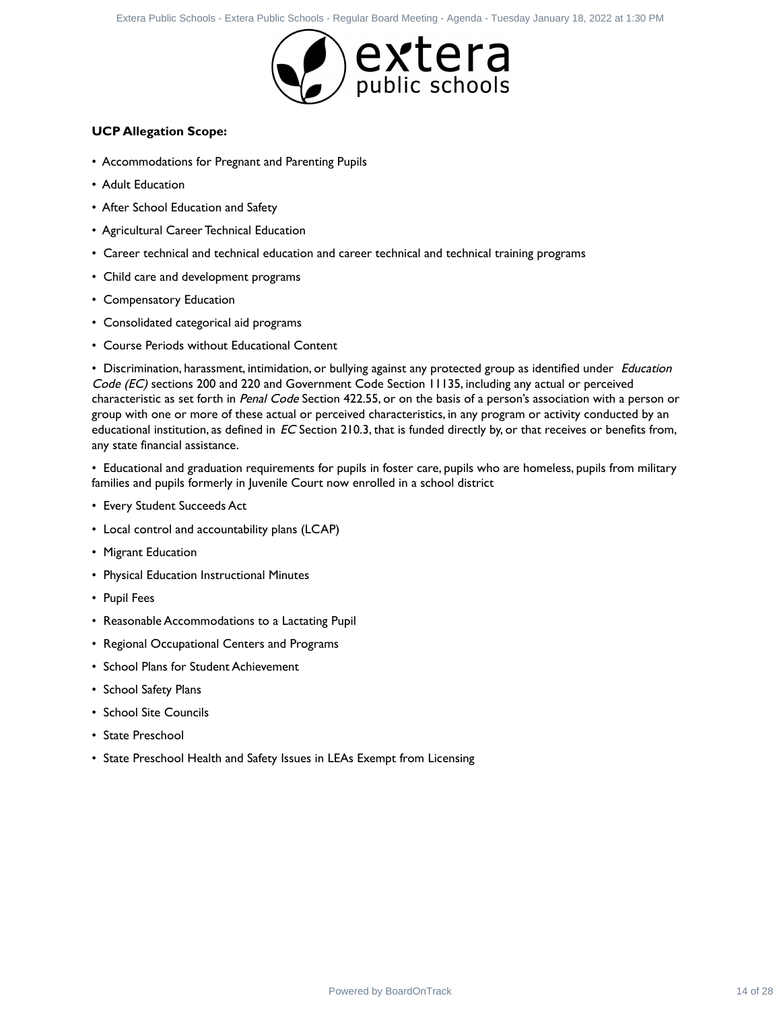

### **UCP Allegation Scope:**

- Accommodations for Pregnant and Parenting Pupils
- Adult Education
- After School Education and Safety
- Agricultural Career Technical Education
- Career technical and technical education and career technical and technical training programs
- Child care and development programs
- Compensatory Education
- Consolidated categorical aid programs
- Course Periods without Educational Content

• Discrimination, harassment, intimidation, or bullying against any protected group as identified under Education Code (EC) sections 200 and 220 and Government Code Section 11135, including any actual or perceived characteristic as set forth in Penal Code Section 422.55, or on the basis of a person's association with a person or group with one or more of these actual or perceived characteristics, in any program or activity conducted by an educational institution, as defined in  $EC$  Section 210.3, that is funded directly by, or that receives or benefits from, any state financial assistance. Power Contract 14 of 28 Externa Public Schools - Power Public Schools - Powered By Board Schools - Regular Schools - Regular Schools - Power Public Schools - Regular Schools - Regular Board Meeting Public Schools - Regular

• Educational and graduation requirements for pupils in foster care, pupils who are homeless, pupils from military families and pupils formerly in Juvenile Court now enrolled in a school district

- Every Student Succeeds Act
- Local control and accountability plans (LCAP)
- Migrant Education
- Physical Education Instructional Minutes
- Pupil Fees
- Reasonable Accommodations to a Lactating Pupil
- Regional Occupational Centers and Programs
- School Plans for Student Achievement
- School Safety Plans
- School Site Councils
- State Preschool
- State Preschool Health and Safety Issues in LEAs Exempt from Licensing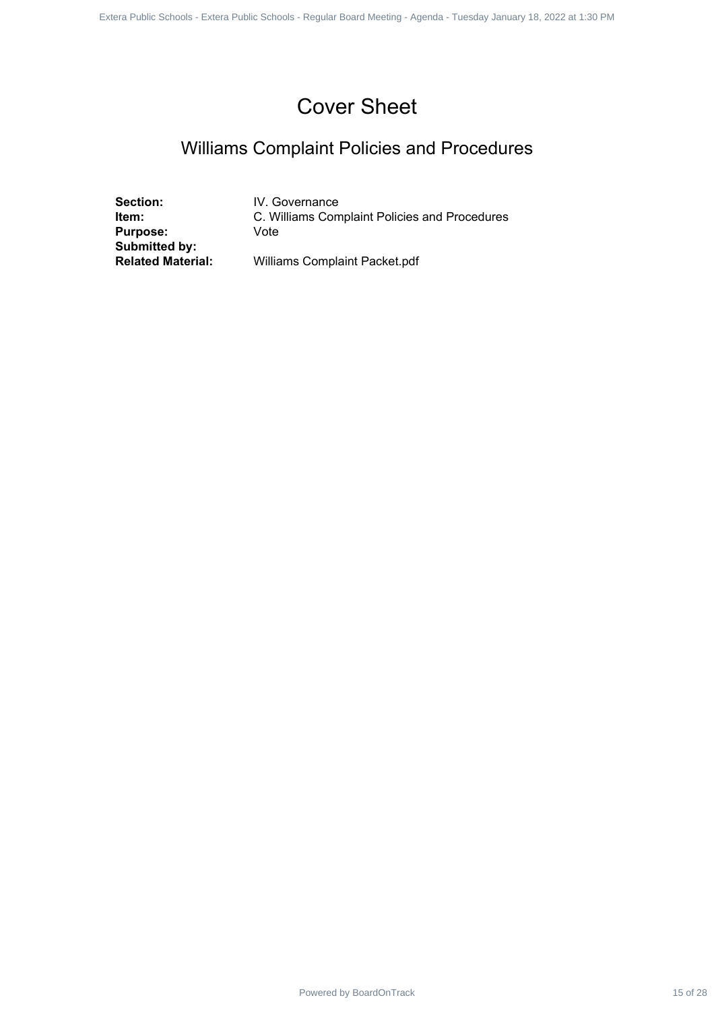# Cover Sheet

# Williams Complaint Policies and Procedures

**Section:** IV. Governance<br> **Item:** C. Williams Com **Purpose:** Vote **Submitted by:**

**C. Williams Complaint Policies and Procedures** Powered by BoardOnTrack 15 of 28 1 1 Powered by BoardOnTrack 15 of 28 1 1 Powered by BoardOnTrack 15 of 28 1 1 Externa Public Schools and Proceedures<br>
Seatson: M. Government<br>
Submitted Schools - West Decrement Public Schoo

**Related Material:** Williams Complaint Packet.pdf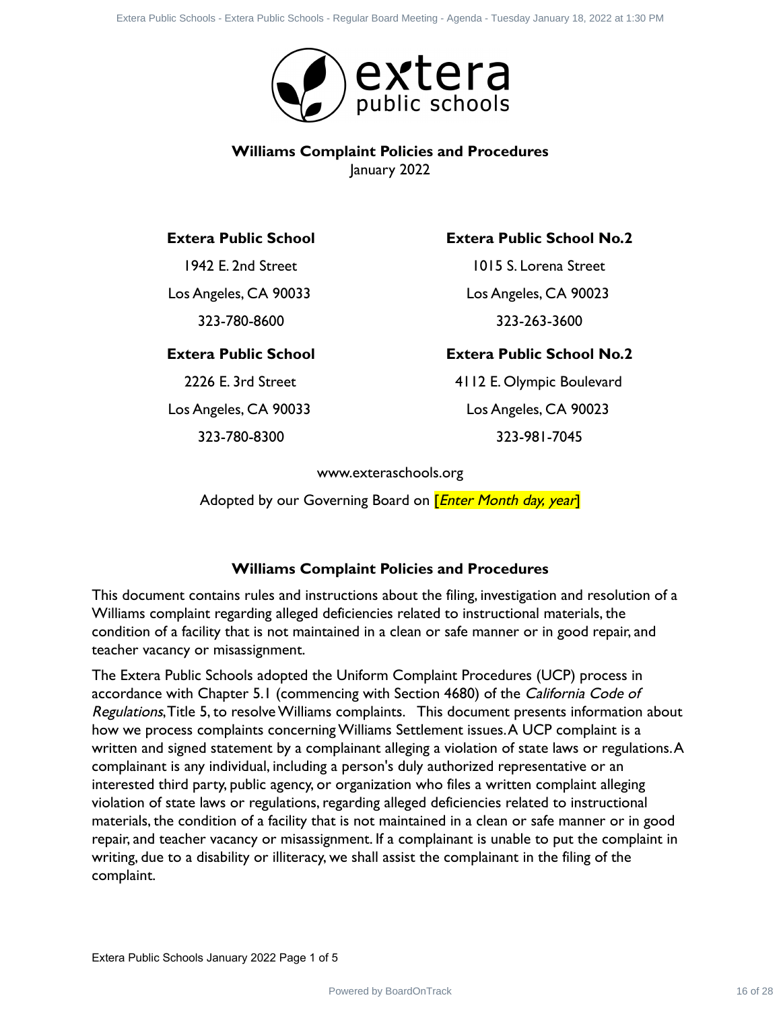

### **Williams Complaint Policies and Procedures** January 2022

### **Extera Public School**

1942 E. 2nd Street Los Angeles, CA 90033 323-780-8600

### **Extera Public School**

2226 E. 3rd Street Los Angeles, CA 90033

323-780-8300

### **Extera Public School No.2**

1015 S. Lorena Street Los Angeles, CA 90023 323-263-3600

### **Extera Public School No.2**

4112 E. Olympic Boulevard Los Angeles, CA 90023 323-981-7045

www.exteraschools.org

Adopted by our Governing Board on *[Enter Month day, year*]

### **Williams Complaint Policies and Procedures**

This document contains rules and instructions about the filing, investigation and resolution of a Williams complaint regarding alleged deficiencies related to instructional materials, the condition of a facility that is not maintained in a clean or safe manner or in good repair, and teacher vacancy or misassignment.

The Extera Public Schools adopted the Uniform Complaint Procedures (UCP) process in accordance with Chapter 5.1 (commencing with Section 4680) of the California Code of Regulations,Title 5, to resolve Williams complaints. This document presents information about how we process complaints concerning Williams Settlement issues.A UCP complaint is a written and signed statement by a complainant alleging a violation of state laws or regulations.A complainant is any individual, including a person's duly authorized representative or an interested third party, public agency, or organization who files a written complaint alleging violation of state laws or regulations, regarding alleged deficiencies related to instructional materials, the condition of a facility that is not maintained in a clean or safe manner or in good repair, and teacher vacancy or misassignment. If a complainant is unable to put the complaint in writing, due to a disability or illiteracy, we shall assist the complainant in the filing of the complaint. Power Power School SWIRT Computer Contract 16 of 28 Externa Public School SWIRT Computer Contract 26 of 28 Externa Public School Section 16 of 28 Externa Public School 16 of 28 Externa Public School 16 of 28 at 10.15 S. L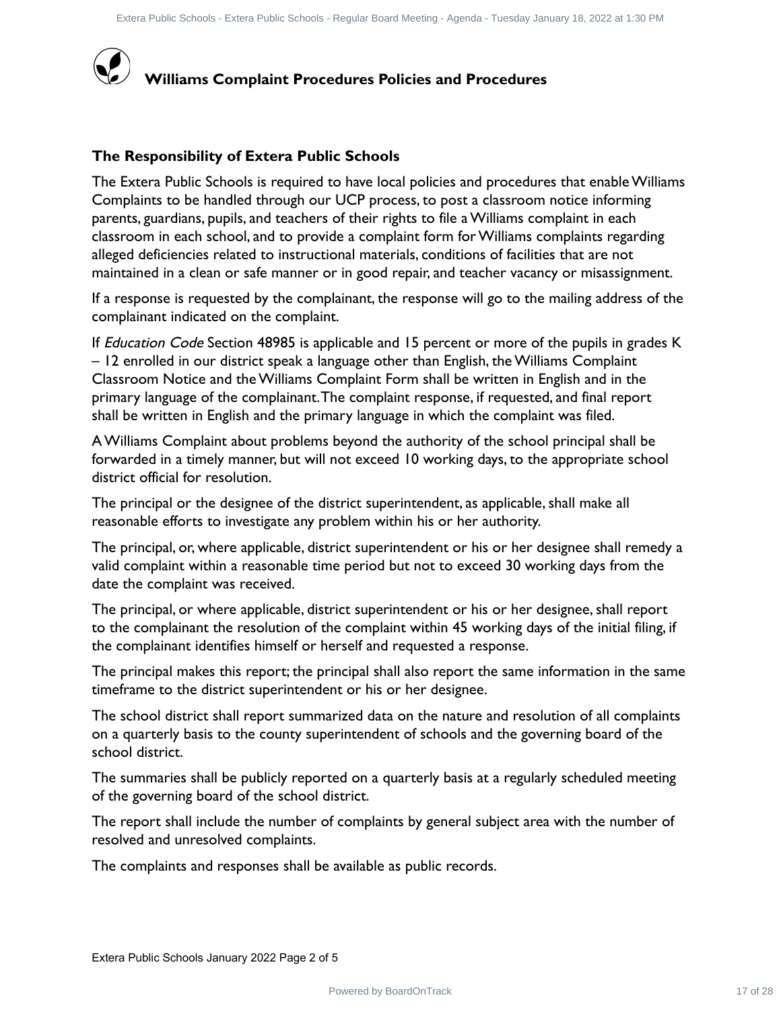

### **The Responsibility of Extera Public Schools**

The Extera Public Schools is required to have local policies and procedures that enable Williams Complaints to be handled through our UCP process, to post a classroom notice informing parents, guardians, pupils, and teachers of their rights to file a Williams complaint in each classroom in each school, and to provide a complaint form for Williams complaints regarding alleged deficiencies related to instructional materials, conditions of facilities that are not maintained in a clean or safe manner or in good repair, and teacher vacancy or misassignment. Phone Board Frame Institute Board Board Board Board Board Board Board Board Board Board Board Board Board Board Board Board Board Board Board Board Board And Board Board And Board And Board And Board And Board And Board An

If a response is requested by the complainant, the response will go to the mailing address of the complainant indicated on the complaint.

If *Education Code* Section 48985 is applicable and 15 percent or more of the pupils in grades K – 12 enrolled in our district speak a language other than English, the Williams Complaint Classroom Notice and the Williams Complaint Form shall be written in English and in the primary language of the complainant.The complaint response, if requested, and final report shall be written in English and the primary language in which the complaint was filed.

A Williams Complaint about problems beyond the authority of the school principal shall be forwarded in a timely manner, but will not exceed 10 working days, to the appropriate school district official for resolution.

The principal or the designee of the district superintendent, as applicable, shall make all reasonable efforts to investigate any problem within his or her authority.

The principal, or, where applicable, district superintendent or his or her designee shall remedy a valid complaint within a reasonable time period but not to exceed 30 working days from the date the complaint was received.

The principal, or where applicable, district superintendent or his or her designee, shall report to the complainant the resolution of the complaint within 45 working days of the initial filing, if the complainant identifies himself or herself and requested a response.

The principal makes this report; the principal shall also report the same information in the same timeframe to the district superintendent or his or her designee.

The school district shall report summarized data on the nature and resolution of all complaints on a quarterly basis to the county superintendent of schools and the governing board of the school district.

The summaries shall be publicly reported on a quarterly basis at a regularly scheduled meeting of the governing board of the school district.

The report shall include the number of complaints by general subject area with the number of resolved and unresolved complaints.

The complaints and responses shall be available as public records.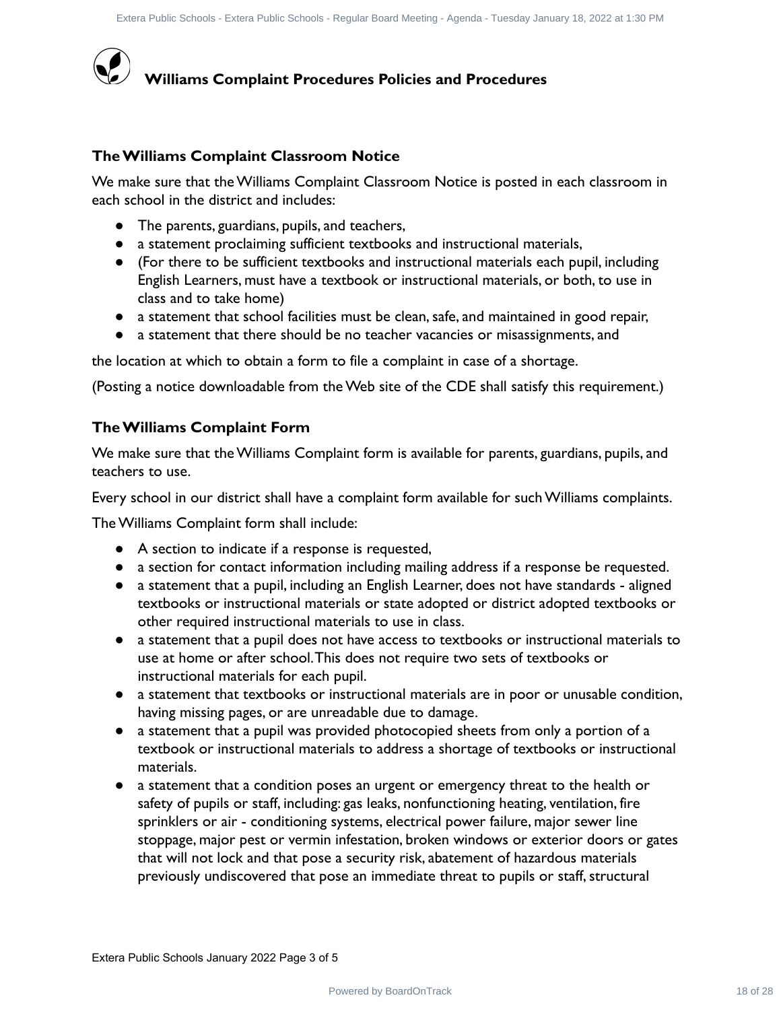

### **The Williams Complaint Classroom Notice**

We make sure that the Williams Complaint Classroom Notice is posted in each classroom in each school in the district and includes:

- The parents, guardians, pupils, and teachers,
- a statement proclaiming sufficient textbooks and instructional materials,
- (For there to be sufficient textbooks and instructional materials each pupil, including English Learners, must have a textbook or instructional materials, or both, to use in class and to take home)
- a statement that school facilities must be clean, safe, and maintained in good repair,
- a statement that there should be no teacher vacancies or misassignments, and

the location at which to obtain a form to file a complaint in case of a shortage.

(Posting a notice downloadable from the Web site of the CDE shall satisfy this requirement.)

### **The Williams Complaint Form**

We make sure that the Williams Complaint form is available for parents, guardians, pupils, and teachers to use.

Every school in our district shall have a complaint form available for such Williams complaints.

The Williams Complaint form shall include:

- A section to indicate if a response is requested,
- a section for contact information including mailing address if a response be requested.
- a statement that a pupil, including an English Learner, does not have standards aligned textbooks or instructional materials or state adopted or district adopted textbooks or other required instructional materials to use in class.
- a statement that a pupil does not have access to textbooks or instructional materials to use at home or after school.This does not require two sets of textbooks or instructional materials for each pupil.
- a statement that textbooks or instructional materials are in poor or unusable condition, having missing pages, or are unreadable due to damage.
- a statement that a pupil was provided photocopied sheets from only a portion of a textbook or instructional materials to address a shortage of textbooks or instructional materials.
- a statement that a condition poses an urgent or emergency threat to the health or safety of pupils or staff, including: gas leaks, nonfunctioning heating, ventilation, fire sprinklers or air - conditioning systems, electrical power failure, major sewer line stoppage, major pest or vermin infestation, broken windows or exterior doors or gates that will not lock and that pose a security risk, abatement of hazardous materials previously undiscovered that pose an immediate threat to pupils or staff, structural Photo Route Book First historic track the method on Merican Proceedures<br>
Power Hilliams Complaint Procedures Policies and Procedures<br>
The same term that the Williams Complaint Classroom Notice is posted in each classroom i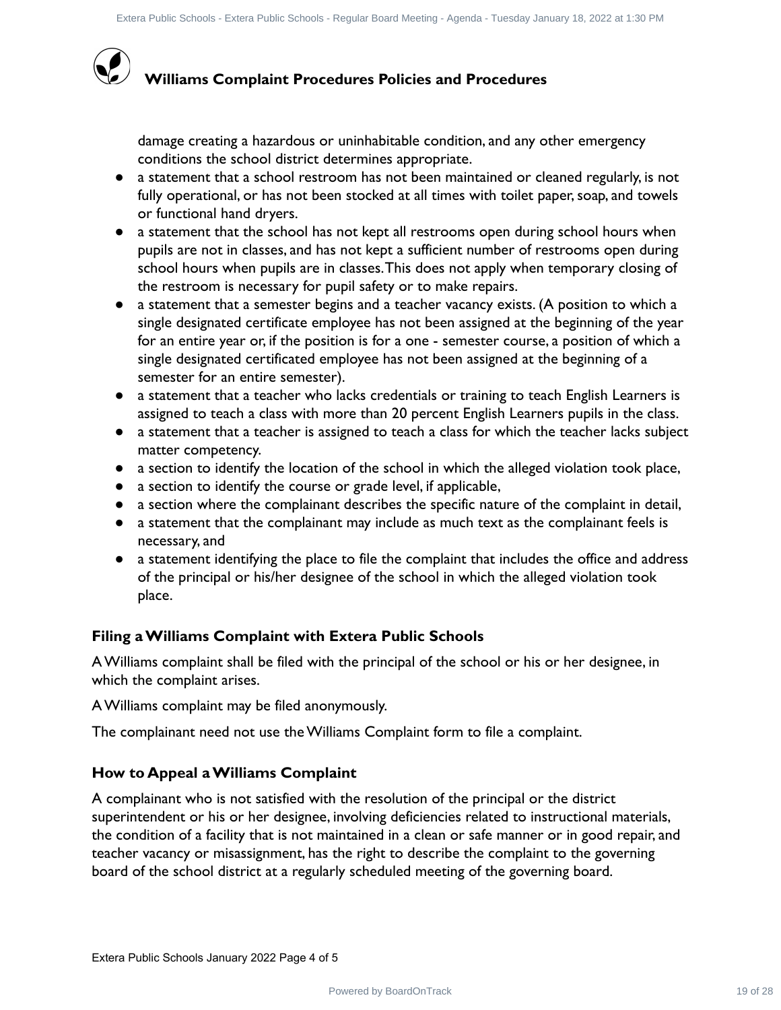# **Williams Complaint Procedures Policies and Procedures**

damage creating a hazardous or uninhabitable condition, and any other emergency conditions the school district determines appropriate.

- a statement that a school restroom has not been maintained or cleaned regularly, is not fully operational, or has not been stocked at all times with toilet paper, soap, and towels or functional hand dryers.
- a statement that the school has not kept all restrooms open during school hours when pupils are not in classes, and has not kept a sufficient number of restrooms open during school hours when pupils are in classes.This does not apply when temporary closing of the restroom is necessary for pupil safety or to make repairs.
- a statement that a semester begins and a teacher vacancy exists. (A position to which a single designated certificate employee has not been assigned at the beginning of the year for an entire year or, if the position is for a one - semester course, a position of which a single designated certificated employee has not been assigned at the beginning of a semester for an entire semester). Photo filters from between their distance of the track 19 of 28 Consequent 19 of 28 2 External and the consequent of 28 External and the properties and **Procedures**<br>
(distance Consequent Board Meeting - Conserved Board Mee
- a statement that a teacher who lacks credentials or training to teach English Learners is assigned to teach a class with more than 20 percent English Learners pupils in the class.
- a statement that a teacher is assigned to teach a class for which the teacher lacks subject matter competency.
- a section to identify the location of the school in which the alleged violation took place,
- a section to identify the course or grade level, if applicable,
- a section where the complainant describes the specific nature of the complaint in detail,
- a statement that the complainant may include as much text as the complainant feels is necessary, and
- a statement identifying the place to file the complaint that includes the office and address of the principal or his/her designee of the school in which the alleged violation took place.

### **Filing a Williams Complaint with Extera Public Schools**

A Williams complaint shall be filed with the principal of the school or his or her designee, in which the complaint arises.

A Williams complaint may be filed anonymously.

The complainant need not use the Williams Complaint form to file a complaint.

### **How to Appeal a Williams Complaint**

A complainant who is not satisfied with the resolution of the principal or the district superintendent or his or her designee, involving deficiencies related to instructional materials, the condition of a facility that is not maintained in a clean or safe manner or in good repair, and teacher vacancy or misassignment, has the right to describe the complaint to the governing board of the school district at a regularly scheduled meeting of the governing board.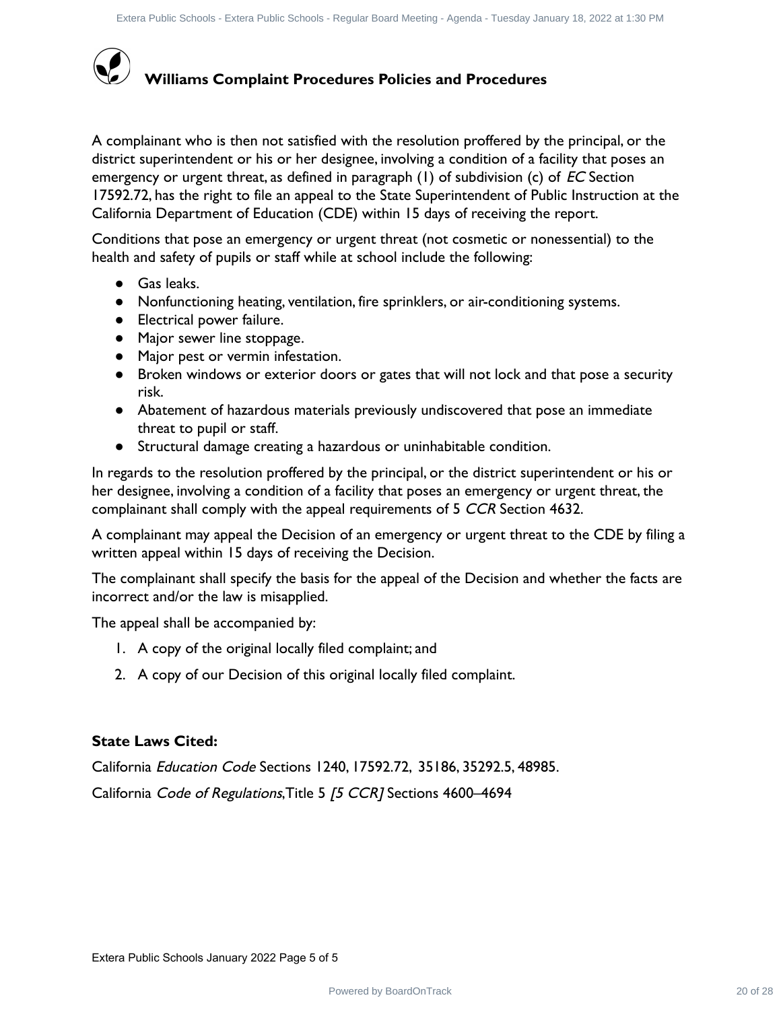

A complainant who is then not satisfied with the resolution proffered by the principal, or the district superintendent or his or her designee, involving a condition of a facility that poses an emergency or urgent threat, as defined in paragraph  $(1)$  of subdivision (c) of EC Section 17592.72, has the right to file an appeal to the State Superintendent of Public Instruction at the California Department of Education (CDE) within 15 days of receiving the report. Photo these from butch the control of the temperature of 28 Computer in the principal or the DV indifferent control of the control of the principal or the properties of the control of the control of the principal or the pr

Conditions that pose an emergency or urgent threat (not cosmetic or nonessential) to the health and safety of pupils or staff while at school include the following:

- Gas leaks.
- Nonfunctioning heating, ventilation, fire sprinklers, or air-conditioning systems.
- Electrical power failure.
- Major sewer line stoppage.
- Major pest or vermin infestation.
- Broken windows or exterior doors or gates that will not lock and that pose a security risk.
- Abatement of hazardous materials previously undiscovered that pose an immediate threat to pupil or staff.
- Structural damage creating a hazardous or uninhabitable condition.

In regards to the resolution proffered by the principal, or the district superintendent or his or her designee, involving a condition of a facility that poses an emergency or urgent threat, the complainant shall comply with the appeal requirements of 5 CCR Section 4632.

A complainant may appeal the Decision of an emergency or urgent threat to the CDE by filing a written appeal within 15 days of receiving the Decision.

The complainant shall specify the basis for the appeal of the Decision and whether the facts are incorrect and/or the law is misapplied.

The appeal shall be accompanied by:

- 1. A copy of the original locally filed complaint; and
- 2. A copy of our Decision of this original locally filed complaint.

### **State Laws Cited:**

California Education Code Sections 1240, 17592.72, 35186, 35292.5, 48985.

California Code of Regulations, Title 5 [5 CCR] Sections 4600-4694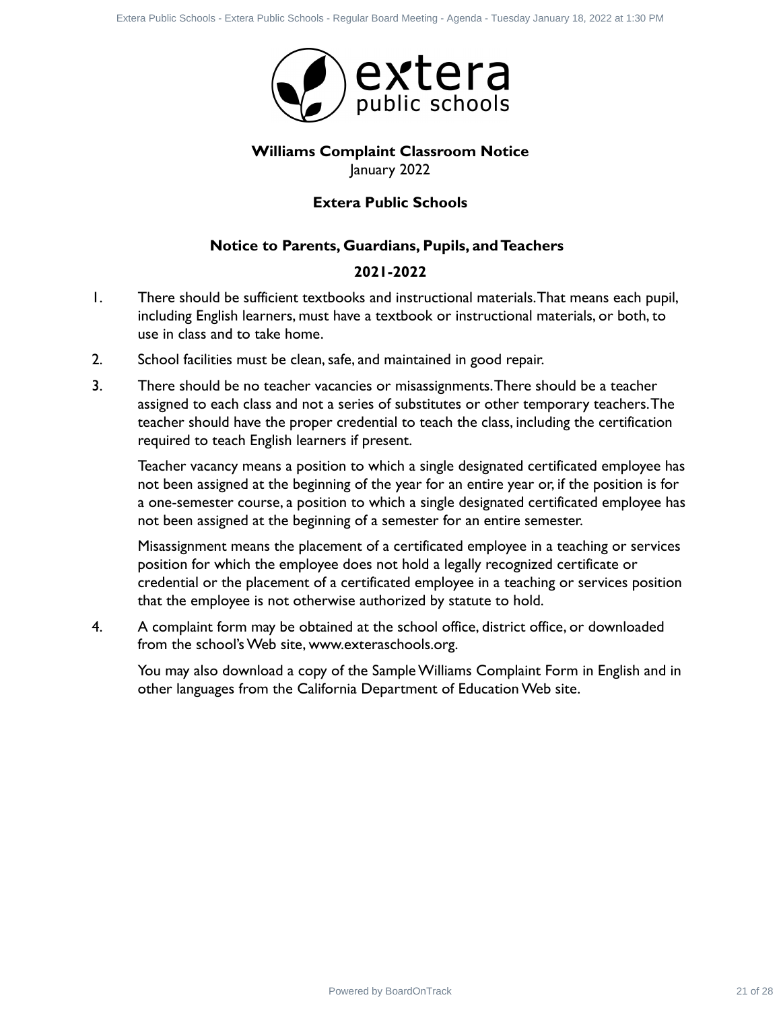

### **Williams Complaint Classroom Notice** January 2022

### **Extera Public Schools**

### **Notice to Parents, Guardians, Pupils, and Teachers**

### **2021-2022**

- 1. There should be sufficient textbooks and instructional materials.That means each pupil, including English learners, must have a textbook or instructional materials, or both, to use in class and to take home.
- 2. School facilities must be clean, safe, and maintained in good repair.
- 3. There should be no teacher vacancies or misassignments.There should be a teacher assigned to each class and not a series of substitutes or other temporary teachers.The teacher should have the proper credential to teach the class, including the certification required to teach English learners if present. Power have from between the power of 22 of 28 **Externe** Public Schools - **Externe Public Schools - Externe Public Schools - Regular Agent Control Control Control Control Control Control Control Control Control Control Cont**

Teacher vacancy means a position to which a single designated certificated employee has not been assigned at the beginning of the year for an entire year or, if the position is for a one-semester course, a position to which a single designated certificated employee has not been assigned at the beginning of a semester for an entire semester.

Misassignment means the placement of a certificated employee in a teaching or services position for which the employee does not hold a legally recognized certificate or credential or the placement of a certificated employee in a teaching or services position that the employee is not otherwise authorized by statute to hold.

4. A complaint form may be obtained at the school office, district office, or downloaded from the school's Web site, www.exteraschools.org.

You may also download a copy of the Sample Williams Complaint Form in English and in other languages from the California Department of Education Web site.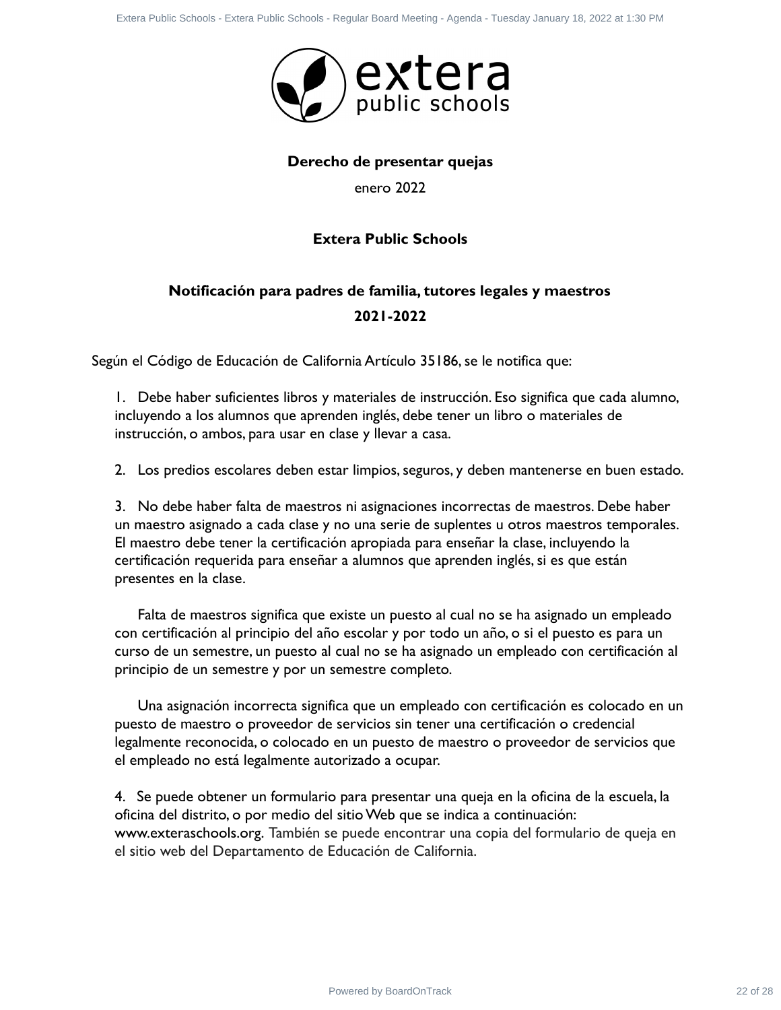

### **Derecho de presentar quejas**

enero 2022

### **Extera Public Schools**

## **Notificación para padres de familia, tutores legales y maestros 2021-2022**

Según el Código de Educación de California Artículo 35186, se le notifica que:

1. Debe haber suficientes libros y materiales de instrucción. Eso significa que cada alumno, incluyendo a los alumnos que aprenden inglés, debe tener un libro o materiales de instrucción, o ambos, para usar en clase y llevar a casa.

2. Los predios escolares deben estar limpios, seguros, y deben mantenerse en buen estado.

3. No debe haber falta de maestros ni asignaciones incorrectas de maestros. Debe haber un maestro asignado a cada clase y no una serie de suplentes u otros maestros temporales. El maestro debe tener la certificación apropiada para enseñar la clase, incluyendo la certificación requerida para enseñar a alumnos que aprenden inglés, si es que están presentes en la clase. Power has the first of the first of the first and the total degree of 2022<br>
Develop of Powered By American Contract Contract Contract Contract Contract Contract Contract Contract Contract Contract Contract Contract Contrac

Falta de maestros significa que existe un puesto al cual no se ha asignado un empleado con certificación al principio del año escolar y por todo un año, o si el puesto es para un curso de un semestre, un puesto al cual no se ha asignado un empleado con certificación al principio de un semestre y por un semestre completo.

Una asignación incorrecta significa que un empleado con certificación es colocado en un puesto de maestro o proveedor de servicios sin tener una certificación o credencial legalmente reconocida, o colocado en un puesto de maestro o proveedor de servicios que el empleado no está legalmente autorizado a ocupar.

4. Se puede obtener un formulario para presentar una queja en la oficina de la escuela, la oficina del distrito, o por medio del sitio Web que se indica a continuación: www.exteraschools.org. También se puede encontrar una copia del formulario de queja en el sitio web del Departamento de Educación de California.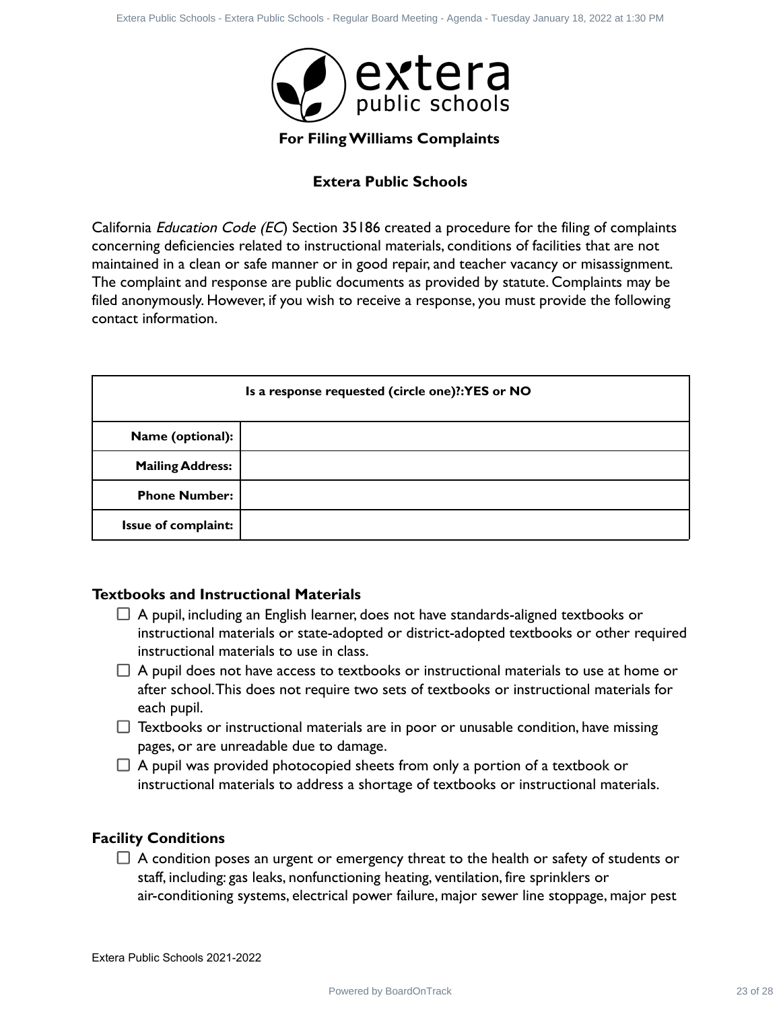

### **Extera Public Schools**

|                                                             | extera (C) external<br>For Filing Williams Complaints                                                                                                                                                                                                                                                                                                                                                                                                                                                                                                                                                                                                                                                                                                      |          |
|-------------------------------------------------------------|------------------------------------------------------------------------------------------------------------------------------------------------------------------------------------------------------------------------------------------------------------------------------------------------------------------------------------------------------------------------------------------------------------------------------------------------------------------------------------------------------------------------------------------------------------------------------------------------------------------------------------------------------------------------------------------------------------------------------------------------------------|----------|
|                                                             | <b>Extera Public Schools</b>                                                                                                                                                                                                                                                                                                                                                                                                                                                                                                                                                                                                                                                                                                                               |          |
|                                                             |                                                                                                                                                                                                                                                                                                                                                                                                                                                                                                                                                                                                                                                                                                                                                            |          |
| contact information.                                        | California <i>Education Code (EC</i> ) Section 35186 created a procedure for the filing of complaints<br>concerning deficiencies related to instructional materials, conditions of facilities that are not<br>maintained in a clean or safe manner or in good repair, and teacher vacancy or misassignment.<br>The complaint and response are public documents as provided by statute. Complaints may be<br>filed anonymously. However, if you wish to receive a response, you must provide the following                                                                                                                                                                                                                                                  |          |
|                                                             | Is a response requested (circle one)?:YES or NO                                                                                                                                                                                                                                                                                                                                                                                                                                                                                                                                                                                                                                                                                                            |          |
| Name (optional):                                            |                                                                                                                                                                                                                                                                                                                                                                                                                                                                                                                                                                                                                                                                                                                                                            |          |
| <b>Mailing Address:</b>                                     |                                                                                                                                                                                                                                                                                                                                                                                                                                                                                                                                                                                                                                                                                                                                                            |          |
| <b>Phone Number:</b>                                        |                                                                                                                                                                                                                                                                                                                                                                                                                                                                                                                                                                                                                                                                                                                                                            |          |
| Issue of complaint:                                         |                                                                                                                                                                                                                                                                                                                                                                                                                                                                                                                                                                                                                                                                                                                                                            |          |
| <b>Textbooks and Instructional Materials</b><br>each pupil. | $\Box$ A pupil, including an English learner, does not have standards-aligned textbooks or<br>instructional materials or state-adopted or district-adopted textbooks or other required<br>instructional materials to use in class.<br>$\Box$ A pupil does not have access to textbooks or instructional materials to use at home or<br>after school. This does not require two sets of textbooks or instructional materials for<br>$\Box$ Textbooks or instructional materials are in poor or unusable condition, have missing<br>pages, or are unreadable due to damage.<br>$\Box$ A pupil was provided photocopied sheets from only a portion of a textbook or<br>instructional materials to address a shortage of textbooks or instructional materials. |          |
| <b>Facility Conditions</b>                                  | $\Box$ A condition poses an urgent or emergency threat to the health or safety of students or<br>staff, including: gas leaks, nonfunctioning heating, ventilation, fire sprinklers or<br>air-conditioning systems, electrical power failure, major sewer line stoppage, major pest                                                                                                                                                                                                                                                                                                                                                                                                                                                                         |          |
| Extera Public Schools 2021-2022                             |                                                                                                                                                                                                                                                                                                                                                                                                                                                                                                                                                                                                                                                                                                                                                            |          |
|                                                             | Powered by BoardOnTrack                                                                                                                                                                                                                                                                                                                                                                                                                                                                                                                                                                                                                                                                                                                                    | 23 of 28 |

### **Textbooks and Instructional Materials**

- $\Box$  A pupil, including an English learner, does not have standards-aligned textbooks or instructional materials or state-adopted or district-adopted textbooks or other required instructional materials to use in class.
- $\Box$  A pupil does not have access to textbooks or instructional materials to use at home or after school.This does not require two sets of textbooks or instructional materials for each pupil.
- $\Box$  Textbooks or instructional materials are in poor or unusable condition, have missing pages, or are unreadable due to damage.
- $\Box$  A pupil was provided photocopied sheets from only a portion of a textbook or instructional materials to address a shortage of textbooks or instructional materials.

### **Facility Conditions**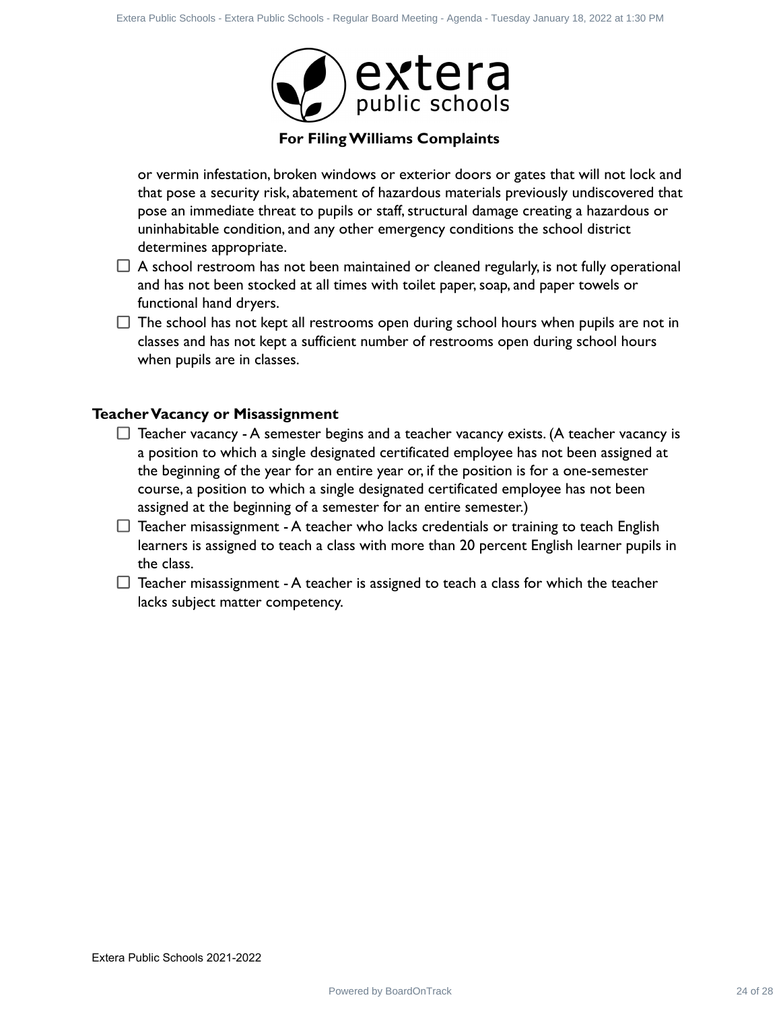

or vermin infestation, broken windows or exterior doors or gates that will not lock and that pose a security risk, abatement of hazardous materials previously undiscovered that pose an immediate threat to pupils or staff, structural damage creating a hazardous or uninhabitable condition, and any other emergency conditions the school district determines appropriate.

- $\Box$  A school restroom has not been maintained or cleaned regularly, is not fully operational and has not been stocked at all times with toilet paper, soap, and paper towels or functional hand dryers.
- $\Box$  The school has not kept all restrooms open during school hours when pupils are not in classes and has not kept a sufficient number of restrooms open during school hours when pupils are in classes.

### **Teacher Vacancy or Misassignment**

- $\Box$  Teacher vacancy A semester begins and a teacher vacancy exists. (A teacher vacancy is a position to which a single designated certificated employee has not been assigned at the beginning of the year for an entire year or, if the position is for a one-semester course, a position to which a single designated certificated employee has not been assigned at the beginning of a semester for an entire semester.) Power for the basis of the Unit of the Board Board Power Hamilton Control Control Control Control Control Control Control Control Control Control Control Control Control Control Control Control Control Control Control Cont
- $\Box$  Teacher misassignment A teacher who lacks credentials or training to teach English learners is assigned to teach a class with more than 20 percent English learner pupils in the class.
- $\Box$  Teacher misassignment A teacher is assigned to teach a class for which the teacher lacks subject matter competency.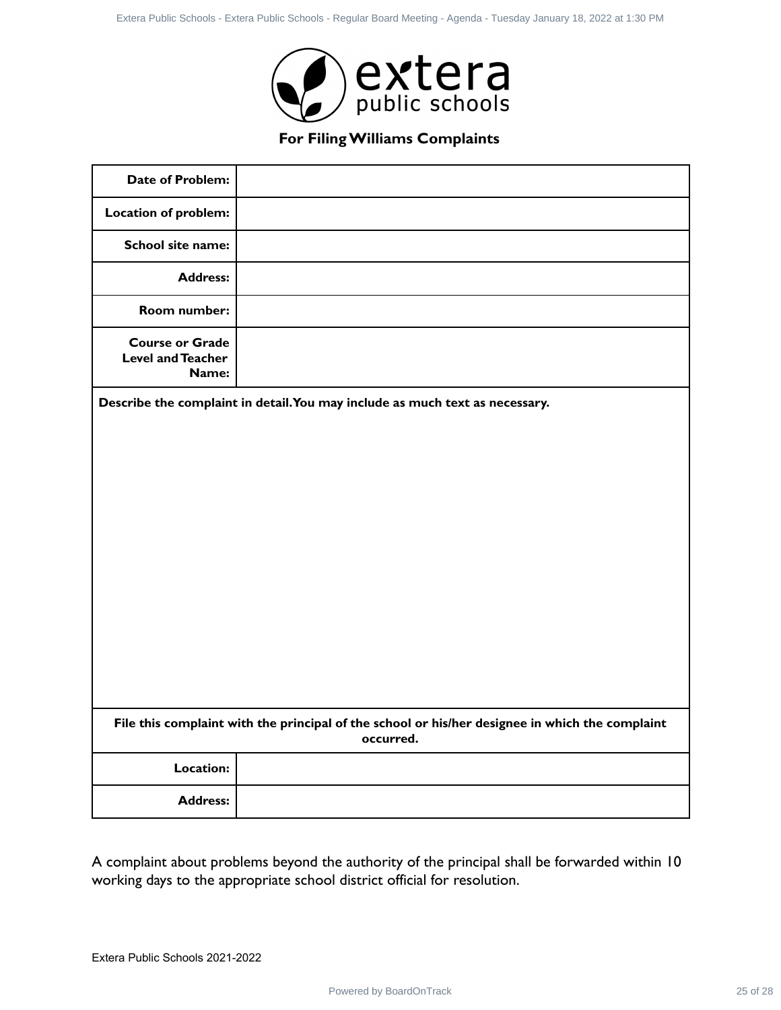

|                                                             | For Filing Williams Complaints                                                                  |
|-------------------------------------------------------------|-------------------------------------------------------------------------------------------------|
| <b>Date of Problem:</b>                                     |                                                                                                 |
| <b>Location of problem:</b>                                 |                                                                                                 |
| School site name:                                           |                                                                                                 |
| <b>Address:</b>                                             |                                                                                                 |
| Room number:                                                |                                                                                                 |
| <b>Course or Grade</b><br><b>Level and Teacher</b><br>Name: |                                                                                                 |
|                                                             | File this complaint with the principal of the school or his/her designee in which the complaint |
|                                                             | occurred.                                                                                       |
|                                                             |                                                                                                 |
| Location:                                                   |                                                                                                 |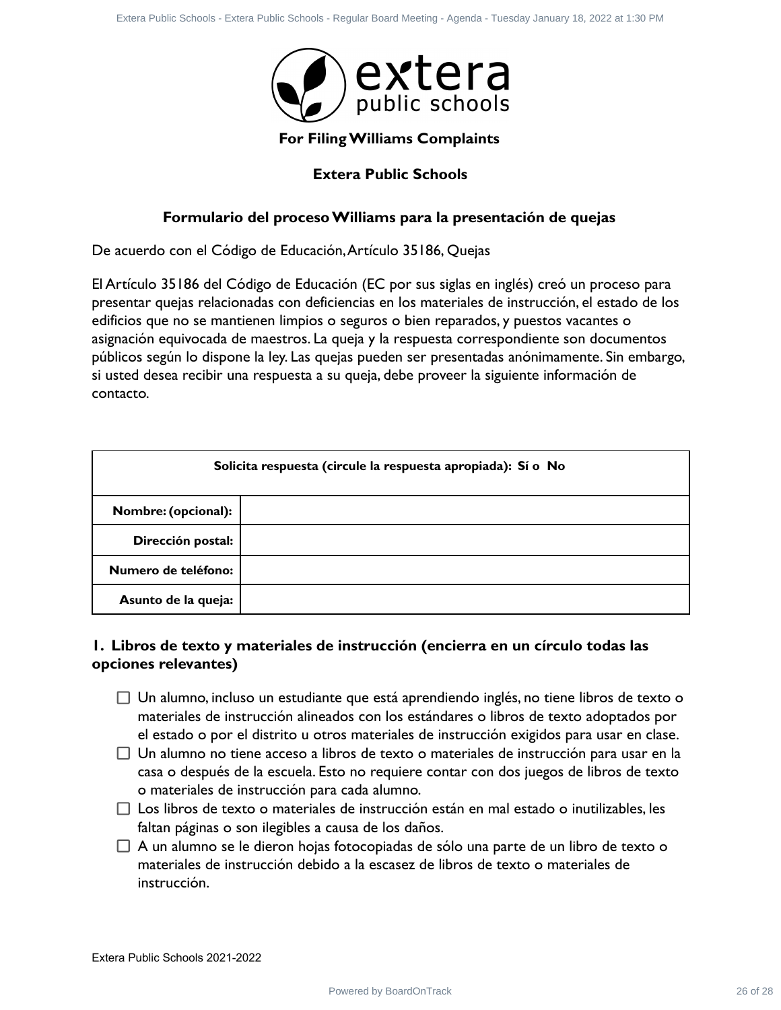

### **Extera Public Schools**

### **Formulario del proceso Williams para la presentación de quejas**

|                                 | Extera Public Schools - Extera Public Schools - Regular Board Meeting - Agenda - Tuesday January 18, 2022 at 1:30 PM                                                                                                                                                                                                                                                                                                                                                                                                                                                                                                                                                                                                                                                                                                                                                                |          |
|---------------------------------|-------------------------------------------------------------------------------------------------------------------------------------------------------------------------------------------------------------------------------------------------------------------------------------------------------------------------------------------------------------------------------------------------------------------------------------------------------------------------------------------------------------------------------------------------------------------------------------------------------------------------------------------------------------------------------------------------------------------------------------------------------------------------------------------------------------------------------------------------------------------------------------|----------|
|                                 | extera                                                                                                                                                                                                                                                                                                                                                                                                                                                                                                                                                                                                                                                                                                                                                                                                                                                                              |          |
|                                 | For Filing Williams Complaints                                                                                                                                                                                                                                                                                                                                                                                                                                                                                                                                                                                                                                                                                                                                                                                                                                                      |          |
|                                 | <b>Extera Public Schools</b>                                                                                                                                                                                                                                                                                                                                                                                                                                                                                                                                                                                                                                                                                                                                                                                                                                                        |          |
|                                 | Formulario del proceso Williams para la presentación de quejas                                                                                                                                                                                                                                                                                                                                                                                                                                                                                                                                                                                                                                                                                                                                                                                                                      |          |
|                                 | De acuerdo con el Código de Educación, Artículo 35186, Quejas                                                                                                                                                                                                                                                                                                                                                                                                                                                                                                                                                                                                                                                                                                                                                                                                                       |          |
| contacto.                       | El Artículo 35186 del Código de Educación (EC por sus siglas en inglés) creó un proceso para<br>presentar quejas relacionadas con deficiencias en los materiales de instrucción, el estado de los<br>edificios que no se mantienen limpios o seguros o bien reparados, y puestos vacantes o<br>asignación equivocada de maestros. La queja y la respuesta correspondiente son documentos<br>públicos según lo dispone la ley. Las quejas pueden ser presentadas anónimamente. Sin embargo,<br>si usted desea recibir una respuesta a su queja, debe proveer la siguiente información de                                                                                                                                                                                                                                                                                             |          |
|                                 | Solicita respuesta (circule la respuesta apropiada): Sí o No                                                                                                                                                                                                                                                                                                                                                                                                                                                                                                                                                                                                                                                                                                                                                                                                                        |          |
| Nombre: (opcional):             |                                                                                                                                                                                                                                                                                                                                                                                                                                                                                                                                                                                                                                                                                                                                                                                                                                                                                     |          |
| Dirección postal:               |                                                                                                                                                                                                                                                                                                                                                                                                                                                                                                                                                                                                                                                                                                                                                                                                                                                                                     |          |
| Numero de teléfono:             |                                                                                                                                                                                                                                                                                                                                                                                                                                                                                                                                                                                                                                                                                                                                                                                                                                                                                     |          |
| Asunto de la queja:             |                                                                                                                                                                                                                                                                                                                                                                                                                                                                                                                                                                                                                                                                                                                                                                                                                                                                                     |          |
| opciones relevantes)            | I. Libros de texto y materiales de instrucción (encierra en un círculo todas las                                                                                                                                                                                                                                                                                                                                                                                                                                                                                                                                                                                                                                                                                                                                                                                                    |          |
| instrucción.                    | $\Box$ Un alumno, incluso un estudiante que está aprendiendo inglés, no tiene libros de texto o<br>materiales de instrucción alineados con los estándares o libros de texto adoptados por<br>el estado o por el distrito u otros materiales de instrucción exigidos para usar en clase.<br>$\Box$ Un alumno no tiene acceso a libros de texto o materiales de instrucción para usar en la<br>casa o después de la escuela. Esto no requiere contar con dos juegos de libros de texto<br>o materiales de instrucción para cada alumno.<br>$\Box$ Los libros de texto o materiales de instrucción están en mal estado o inutilizables, les<br>faltan páginas o son ilegibles a causa de los daños.<br>$\Box$ A un alumno se le dieron hojas fotocopiadas de sólo una parte de un libro de texto o<br>materiales de instrucción debido a la escasez de libros de texto o materiales de |          |
| Extera Public Schools 2021-2022 |                                                                                                                                                                                                                                                                                                                                                                                                                                                                                                                                                                                                                                                                                                                                                                                                                                                                                     |          |
|                                 | Powered by BoardOnTrack                                                                                                                                                                                                                                                                                                                                                                                                                                                                                                                                                                                                                                                                                                                                                                                                                                                             | 26 of 28 |

### **1. Libros de texto y materiales de instrucción (encierra en un círculo todas las opciones relevantes)**

- $\Box$  Un alumno, incluso un estudiante que está aprendiendo inglés, no tiene libros de texto o materiales de instrucción alineados con los estándares o libros de texto adoptados por el estado o por el distrito u otros materiales de instrucción exigidos para usar en clase.
- $\Box$  Un alumno no tiene acceso a libros de texto o materiales de instrucción para usar en la casa o después de la escuela. Esto no requiere contar con dos juegos de libros de texto o materiales de instrucción para cada alumno.
- $\Box$  Los libros de texto o materiales de instrucción están en mal estado o inutilizables, les faltan páginas o son ilegibles a causa de los daños.
- $\Box$  A un alumno se le dieron hojas fotocopiadas de sólo una parte de un libro de texto o materiales de instrucción debido a la escasez de libros de texto o materiales de instrucción.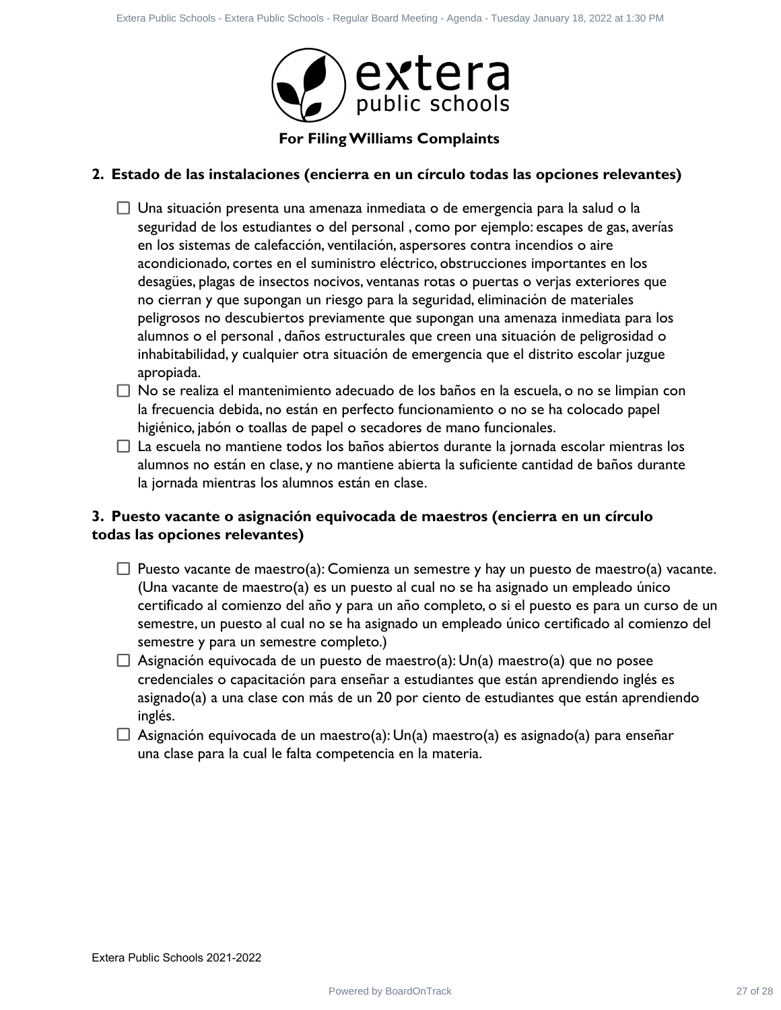

### **2. Estado de las instalaciones (encierra en un círculo todas las opciones relevantes)**

- $\Box$  Una situación presenta una amenaza inmediata o de emergencia para la salud o la seguridad de los estudiantes o del personal , como por ejemplo: escapes de gas, averías en los sistemas de calefacción, ventilación, aspersores contra incendios o aire acondicionado, cortes en el suministro eléctrico, obstrucciones importantes en los desagües, plagas de insectos nocivos, ventanas rotas o puertas o verjas exteriores que no cierran y que supongan un riesgo para la seguridad, eliminación de materiales peligrosos no descubiertos previamente que supongan una amenaza inmediata para los alumnos o el personal , daños estructurales que creen una situación de peligrosidad o inhabitabilidad, y cualquier otra situación de emergencia que el distrito escolar juzgue apropiada. Power have from between their based by Board Distributed by Board Distributed Control Control Control Control Control Control Control Control Control Control Control Control Control Control Control Control Control Control
- $\Box$  No se realiza el mantenimiento adecuado de los baños en la escuela, o no se limpian con la frecuencia debida, no están en perfecto funcionamiento o no se ha colocado papel higiénico, jabón o toallas de papel o secadores de mano funcionales.
- $\Box$  La escuela no mantiene todos los baños abiertos durante la jornada escolar mientras los alumnos no están en clase, y no mantiene abierta la suficiente cantidad de baños durante la jornada mientras los alumnos están en clase.

### **3. Puesto vacante o asignación equivocada de maestros (encierra en un círculo todas las opciones relevantes)**

- $\Box$  Puesto vacante de maestro(a): Comienza un semestre y hay un puesto de maestro(a) vacante. (Una vacante de maestro(a) es un puesto al cual no se ha asignado un empleado único certificado al comienzo del año y para un año completo, o si el puesto es para un curso de un semestre, un puesto al cual no se ha asignado un empleado único certificado al comienzo del semestre y para un semestre completo.)
- $\Box$  Asignación equivocada de un puesto de maestro(a): Un(a) maestro(a) que no posee credenciales o capacitación para enseñar a estudiantes que están aprendiendo inglés es asignado(a) a una clase con más de un 20 por ciento de estudiantes que están aprendiendo inglés.
- $\Box$  Asignación equivocada de un maestro(a): Un(a) maestro(a) es asignado(a) para enseñar una clase para la cual le falta competencia en la materia.